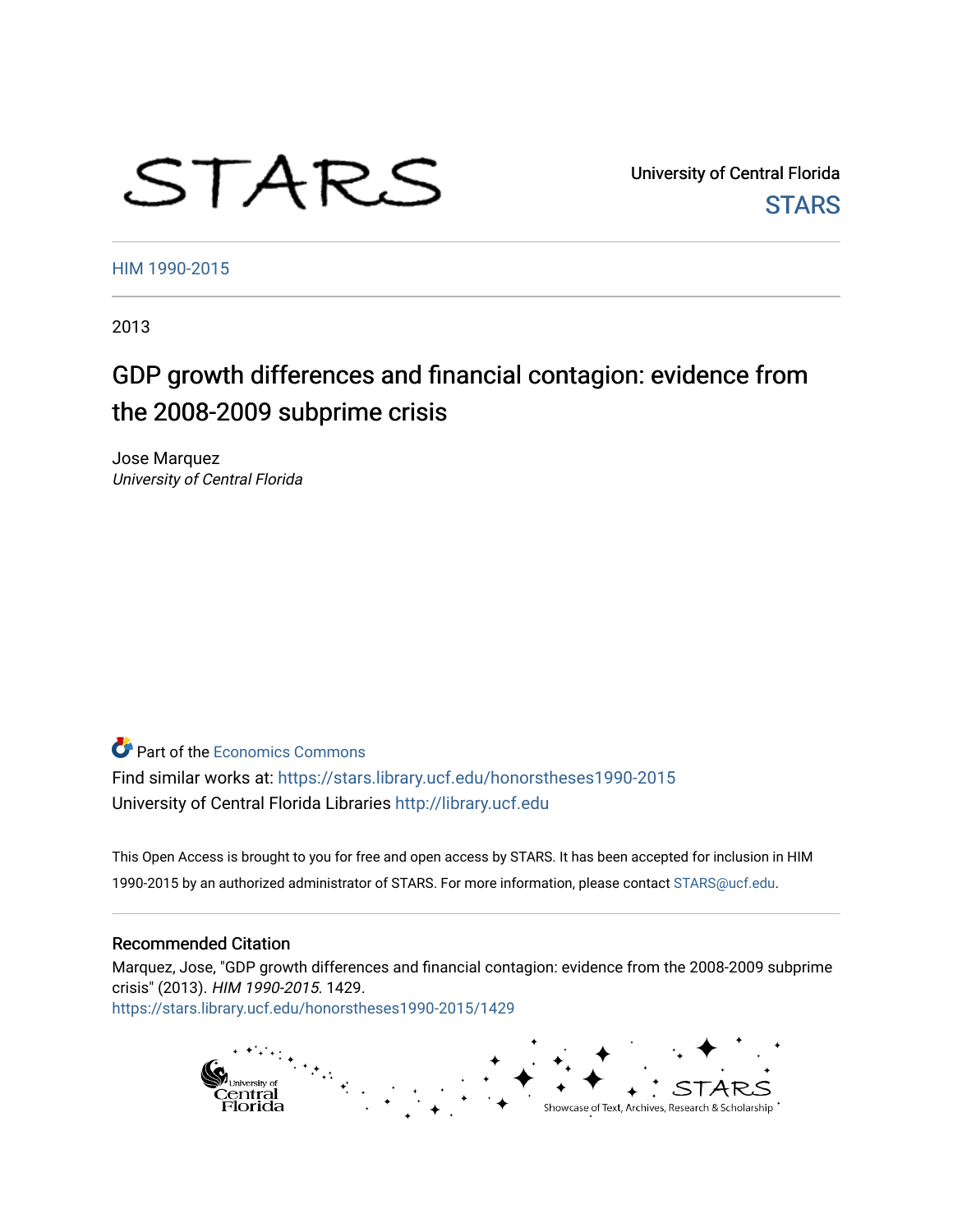# STARS

University of Central Florida **STARS** 

[HIM 1990-2015](https://stars.library.ucf.edu/honorstheses1990-2015) 

2013

# GDP growth differences and financial contagion: evidence from the 2008-2009 subprime crisis

Jose Marquez University of Central Florida

**C** Part of the [Economics Commons](http://network.bepress.com/hgg/discipline/340?utm_source=stars.library.ucf.edu%2Fhonorstheses1990-2015%2F1429&utm_medium=PDF&utm_campaign=PDFCoverPages)

Find similar works at: <https://stars.library.ucf.edu/honorstheses1990-2015> University of Central Florida Libraries [http://library.ucf.edu](http://library.ucf.edu/) 

This Open Access is brought to you for free and open access by STARS. It has been accepted for inclusion in HIM 1990-2015 by an authorized administrator of STARS. For more information, please contact [STARS@ucf.edu](mailto:STARS@ucf.edu).

## Recommended Citation

Marquez, Jose, "GDP growth differences and financial contagion: evidence from the 2008-2009 subprime crisis" (2013). HIM 1990-2015. 1429. [https://stars.library.ucf.edu/honorstheses1990-2015/1429](https://stars.library.ucf.edu/honorstheses1990-2015/1429?utm_source=stars.library.ucf.edu%2Fhonorstheses1990-2015%2F1429&utm_medium=PDF&utm_campaign=PDFCoverPages) 

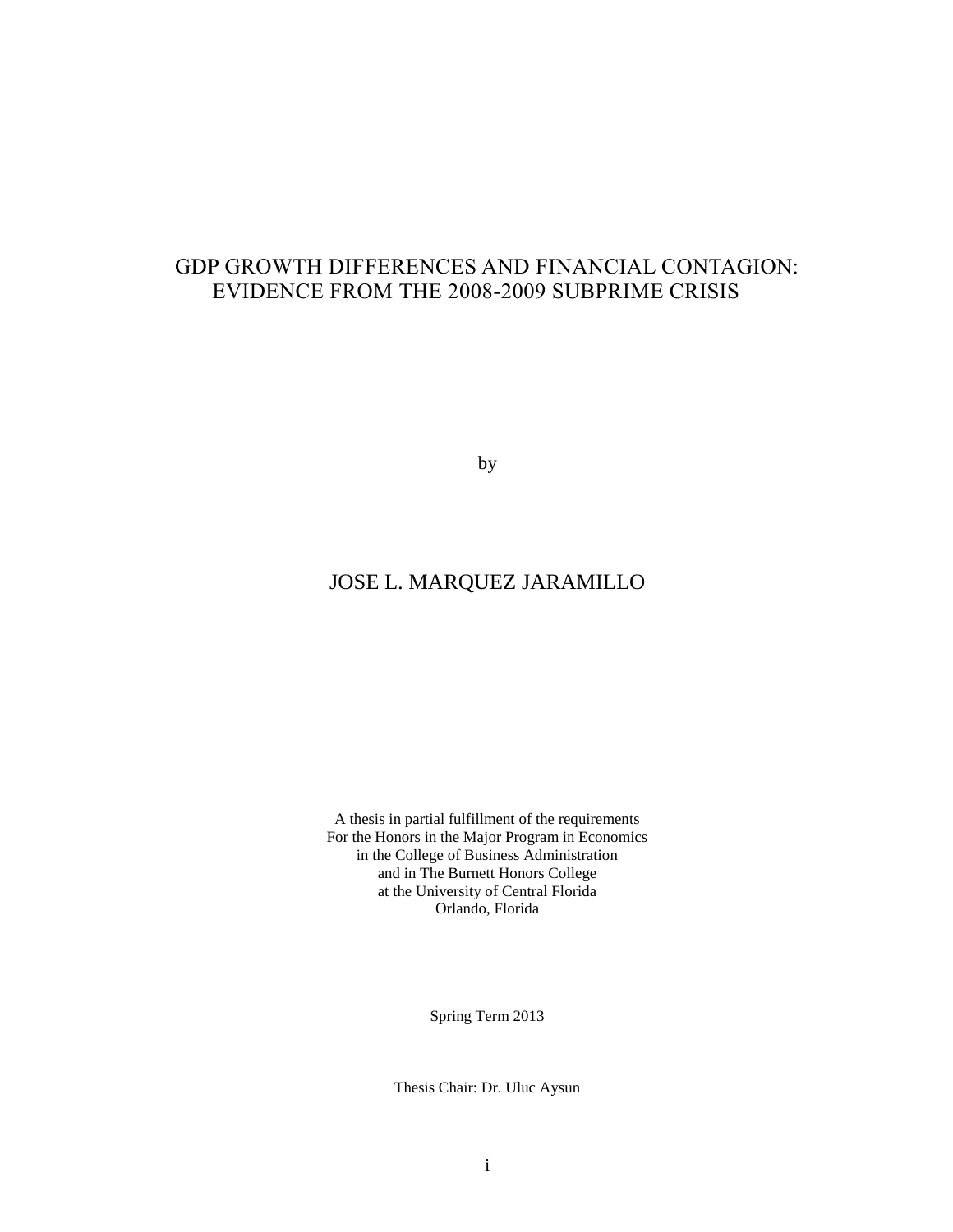# GDP GROWTH DIFFERENCES AND FINANCIAL CONTAGION: EVIDENCE FROM THE 2008-2009 SUBPRIME CRISIS

by

# JOSE L. MARQUEZ JARAMILLO

A thesis in partial fulfillment of the requirements For the Honors in the Major Program in Economics in the College of Business Administration and in The Burnett Honors College at the University of Central Florida Orlando, Florida

Spring Term 2013

Thesis Chair: Dr. Uluc Aysun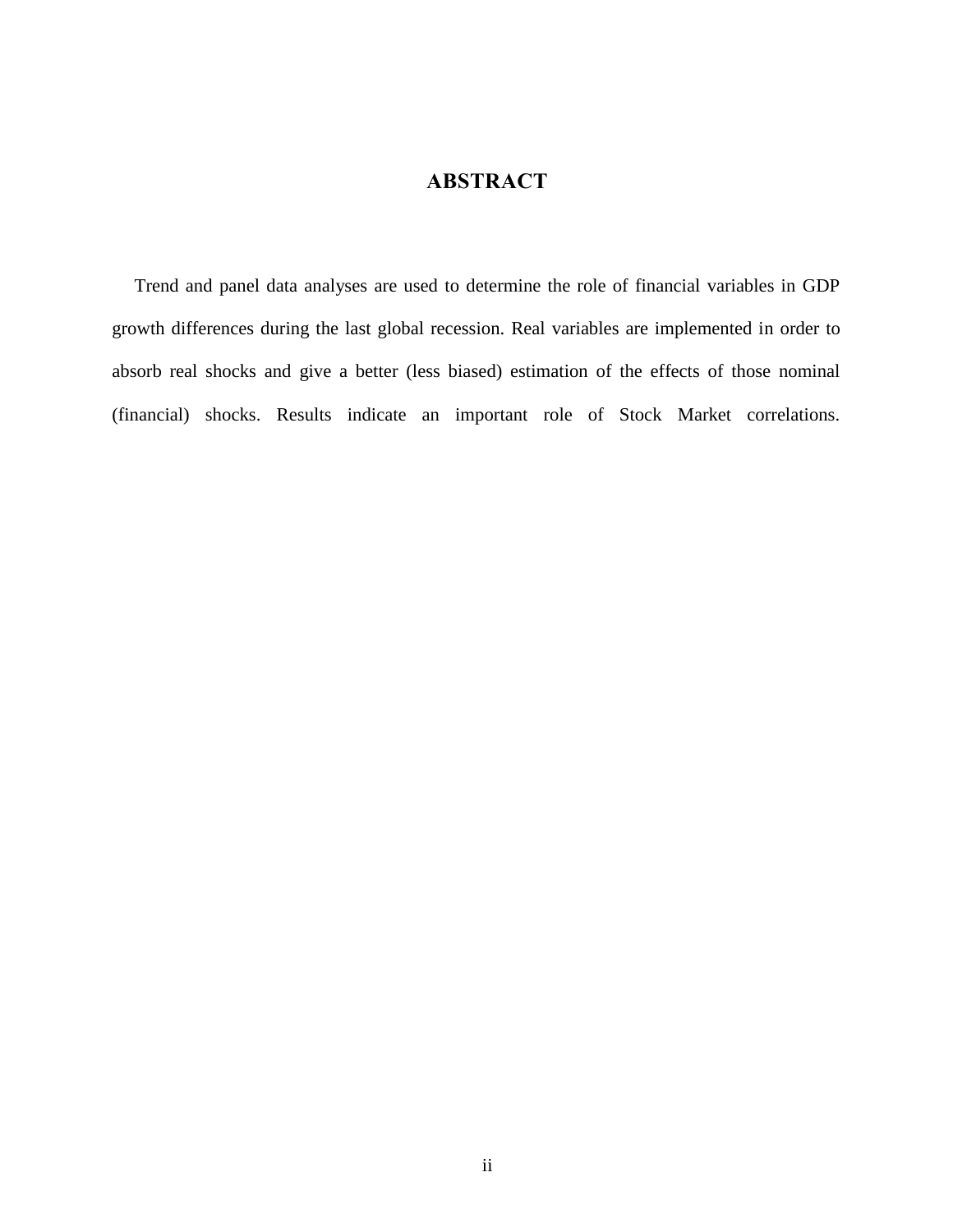# **ABSTRACT**

Trend and panel data analyses are used to determine the role of financial variables in GDP growth differences during the last global recession. Real variables are implemented in order to absorb real shocks and give a better (less biased) estimation of the effects of those nominal (financial) shocks. Results indicate an important role of Stock Market correlations.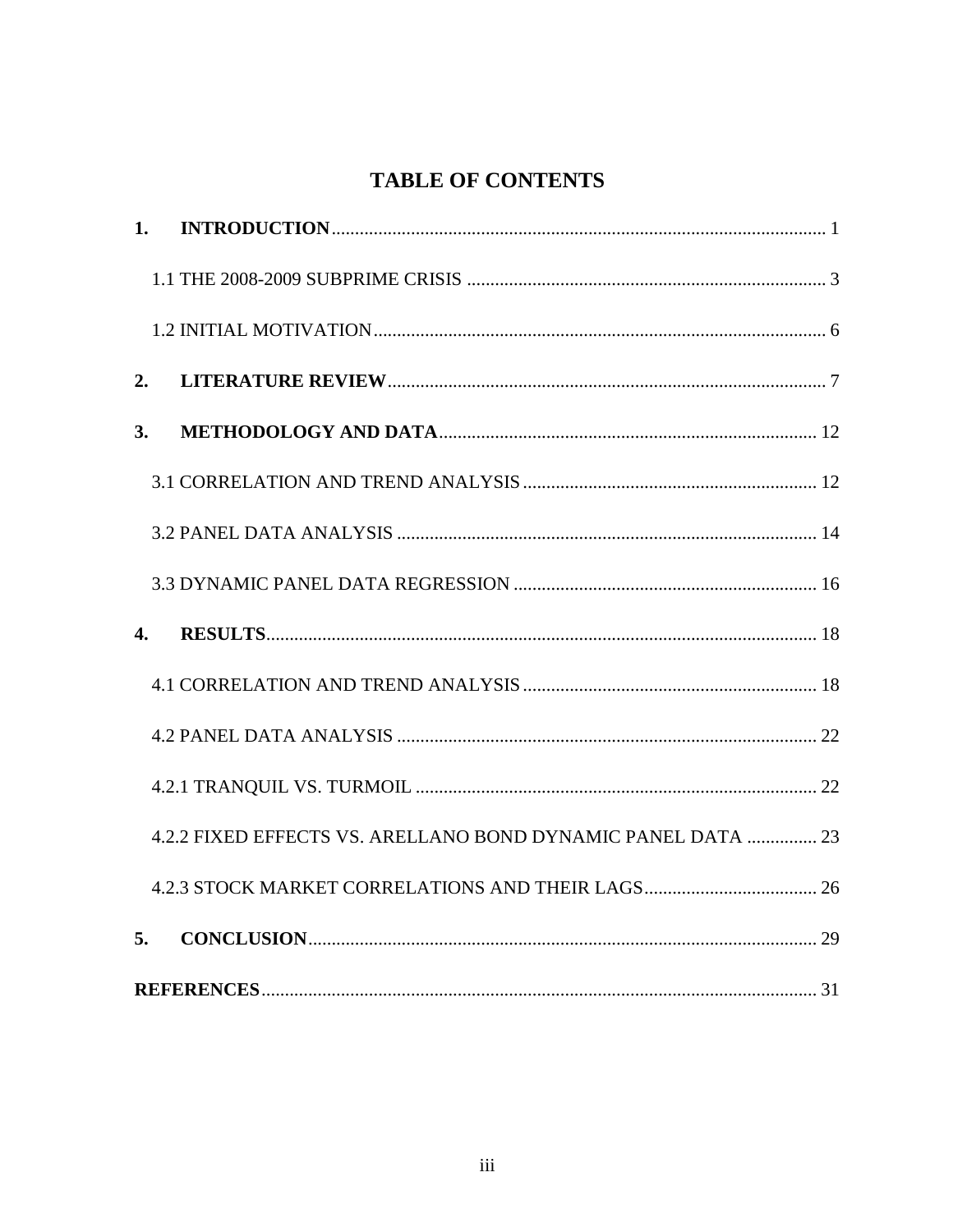# **TABLE OF CONTENTS**

| 1.               |                                                              |  |
|------------------|--------------------------------------------------------------|--|
|                  |                                                              |  |
|                  |                                                              |  |
| 2.               |                                                              |  |
| 3.               |                                                              |  |
|                  |                                                              |  |
|                  |                                                              |  |
|                  |                                                              |  |
| $\overline{4}$ . |                                                              |  |
|                  |                                                              |  |
|                  |                                                              |  |
|                  |                                                              |  |
|                  | 4.2.2 FIXED EFFECTS VS. ARELLANO BOND DYNAMIC PANEL DATA  23 |  |
|                  |                                                              |  |
| 5.               |                                                              |  |
|                  |                                                              |  |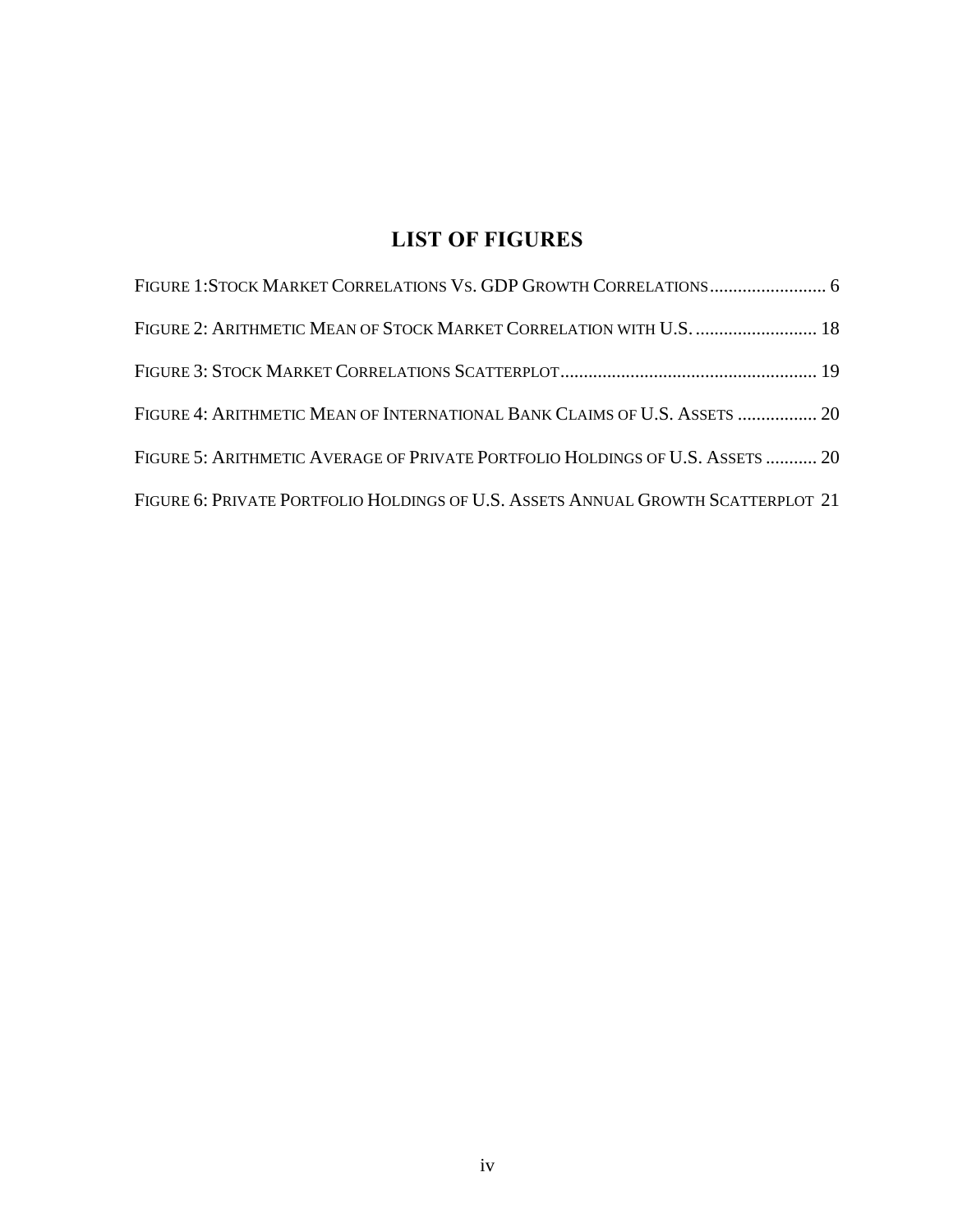# **LIST OF FIGURES**

| FIGURE 1:STOCK MARKET CORRELATIONS VS. GDP GROWTH CORRELATIONS 6                 |  |
|----------------------------------------------------------------------------------|--|
| FIGURE 2: ARITHMETIC MEAN OF STOCK MARKET CORRELATION WITH U.S.  18              |  |
|                                                                                  |  |
| FIGURE 4: ARITHMETIC MEAN OF INTERNATIONAL BANK CLAIMS OF U.S. ASSETS  20        |  |
| FIGURE 5: ARITHMETIC AVERAGE OF PRIVATE PORTFOLIO HOLDINGS OF U.S. ASSETS  20    |  |
| FIGURE 6: PRIVATE PORTFOLIO HOLDINGS OF U.S. ASSETS ANNUAL GROWTH SCATTERPLOT 21 |  |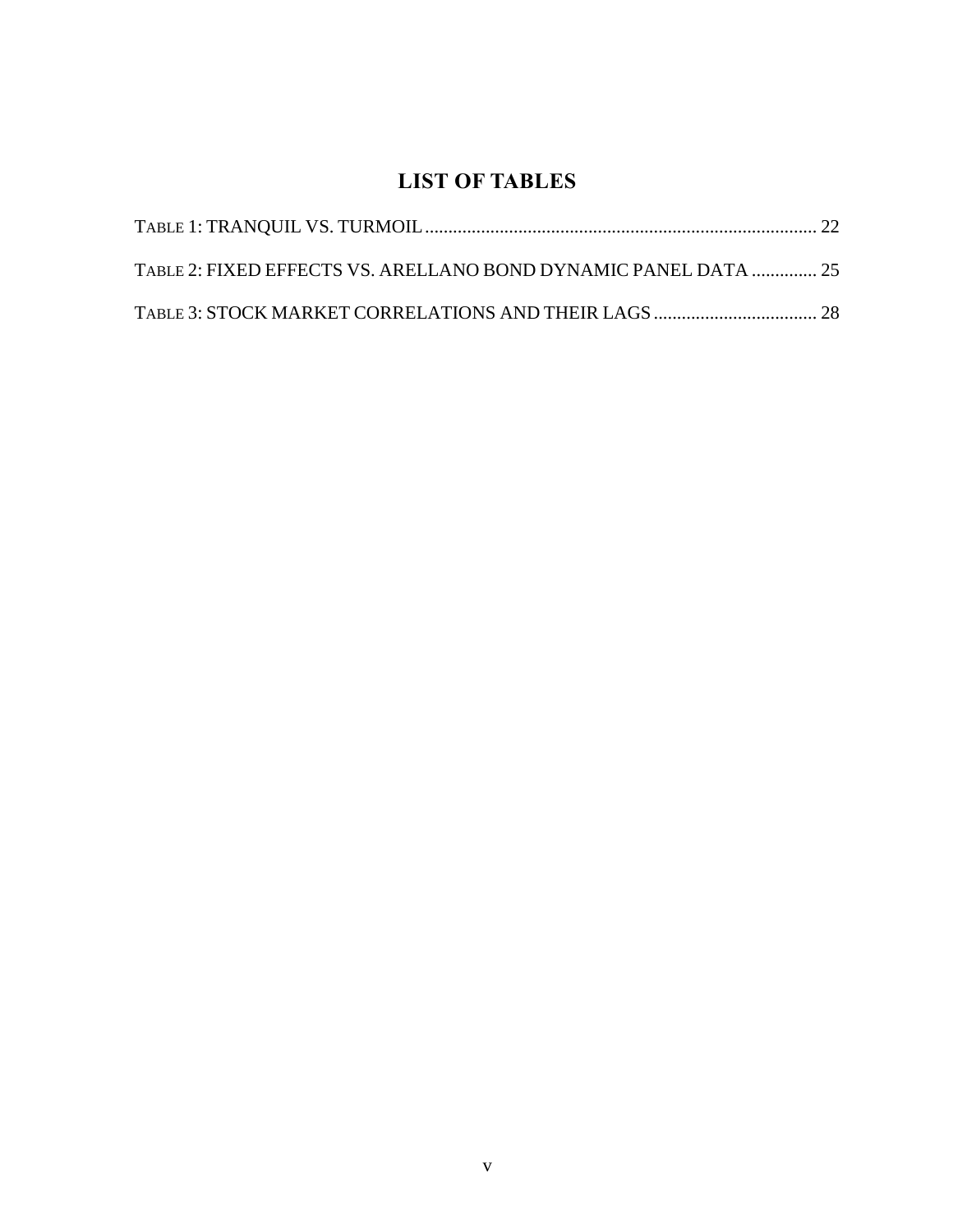# **LIST OF TABLES**

| TABLE 2: FIXED EFFECTS VS. ARELLANO BOND DYNAMIC PANEL DATA  25 |  |
|-----------------------------------------------------------------|--|
|                                                                 |  |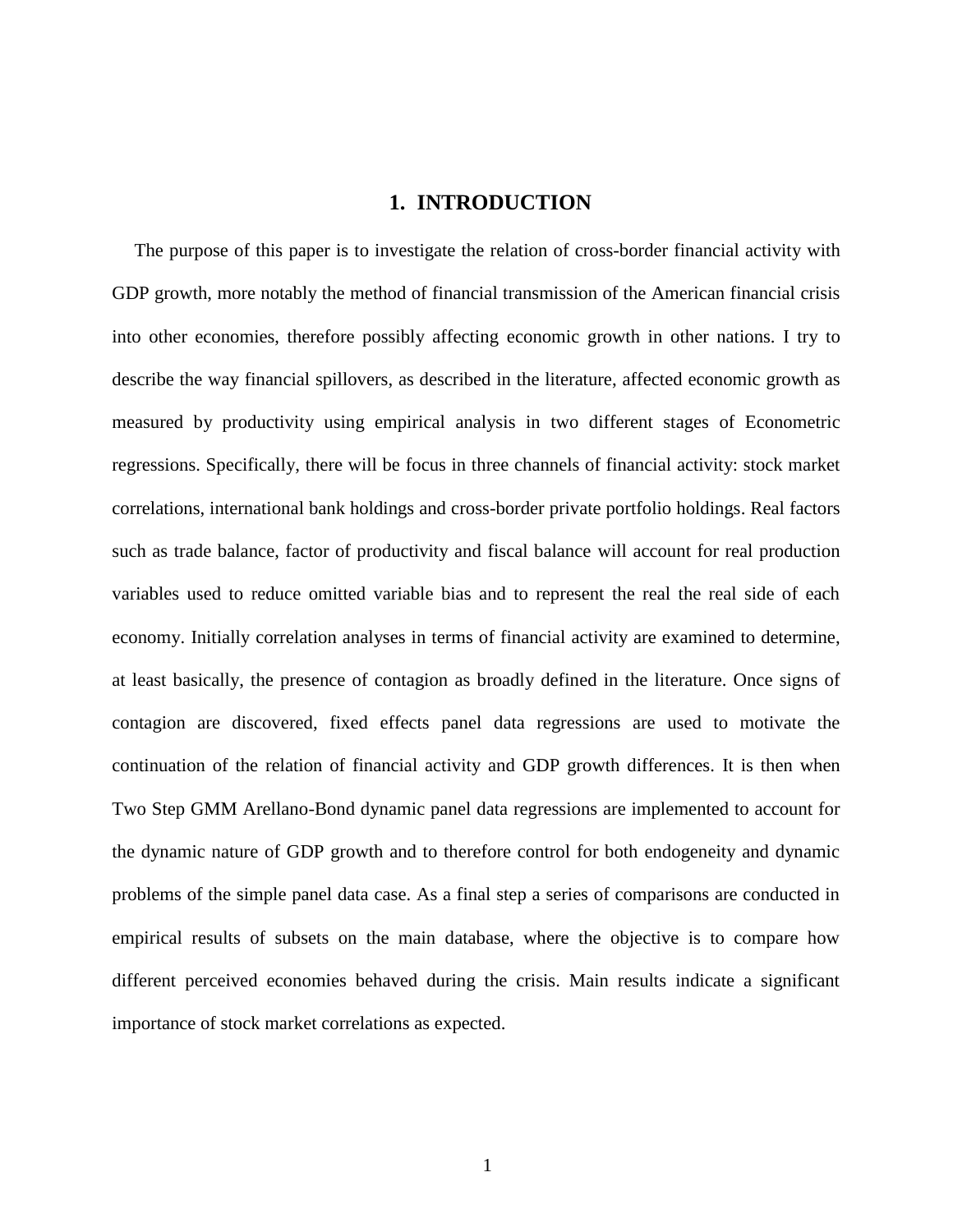## **1. INTRODUCTION**

<span id="page-6-0"></span>The purpose of this paper is to investigate the relation of cross-border financial activity with GDP growth, more notably the method of financial transmission of the American financial crisis into other economies, therefore possibly affecting economic growth in other nations. I try to describe the way financial spillovers, as described in the literature, affected economic growth as measured by productivity using empirical analysis in two different stages of Econometric regressions. Specifically, there will be focus in three channels of financial activity: stock market correlations, international bank holdings and cross-border private portfolio holdings. Real factors such as trade balance, factor of productivity and fiscal balance will account for real production variables used to reduce omitted variable bias and to represent the real the real side of each economy. Initially correlation analyses in terms of financial activity are examined to determine, at least basically, the presence of contagion as broadly defined in the literature. Once signs of contagion are discovered, fixed effects panel data regressions are used to motivate the continuation of the relation of financial activity and GDP growth differences. It is then when Two Step GMM Arellano-Bond dynamic panel data regressions are implemented to account for the dynamic nature of GDP growth and to therefore control for both endogeneity and dynamic problems of the simple panel data case. As a final step a series of comparisons are conducted in empirical results of subsets on the main database, where the objective is to compare how different perceived economies behaved during the crisis. Main results indicate a significant importance of stock market correlations as expected.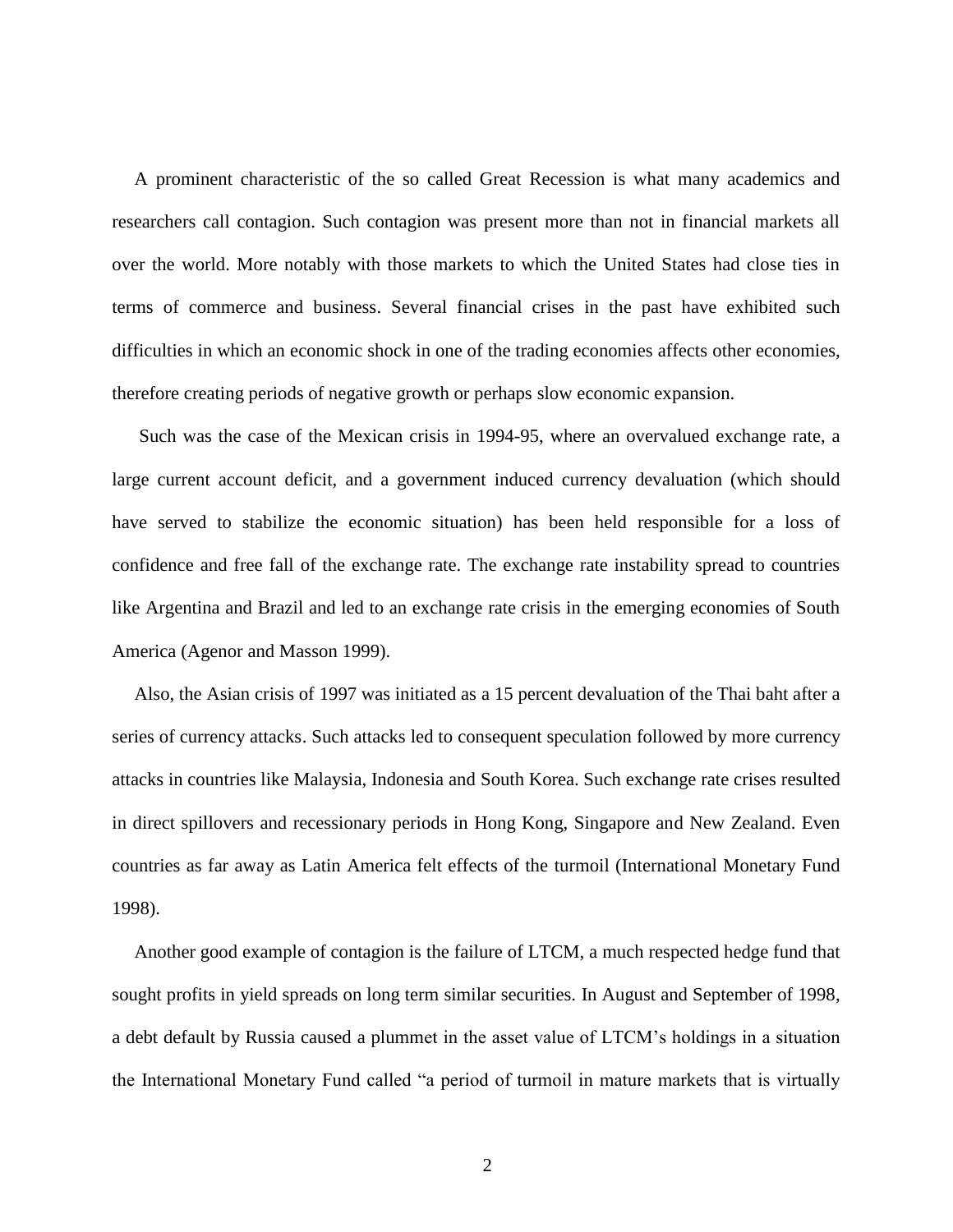A prominent characteristic of the so called Great Recession is what many academics and researchers call contagion. Such contagion was present more than not in financial markets all over the world. More notably with those markets to which the United States had close ties in terms of commerce and business. Several financial crises in the past have exhibited such difficulties in which an economic shock in one of the trading economies affects other economies, therefore creating periods of negative growth or perhaps slow economic expansion.

Such was the case of the Mexican crisis in 1994-95, where an overvalued exchange rate, a large current account deficit, and a government induced currency devaluation (which should have served to stabilize the economic situation) has been held responsible for a loss of confidence and free fall of the exchange rate. The exchange rate instability spread to countries like Argentina and Brazil and led to an exchange rate crisis in the emerging economies of South America (Agenor and Masson 1999).

Also, the Asian crisis of 1997 was initiated as a 15 percent devaluation of the Thai baht after a series of currency attacks. Such attacks led to consequent speculation followed by more currency attacks in countries like Malaysia, Indonesia and South Korea. Such exchange rate crises resulted in direct spillovers and recessionary periods in Hong Kong, Singapore and New Zealand. Even countries as far away as Latin America felt effects of the turmoil (International Monetary Fund 1998).

Another good example of contagion is the failure of LTCM, a much respected hedge fund that sought profits in yield spreads on long term similar securities. In August and September of 1998, a debt default by Russia caused a plummet in the asset value of LTCM's holdings in a situation the International Monetary Fund called "a period of turmoil in mature markets that is virtually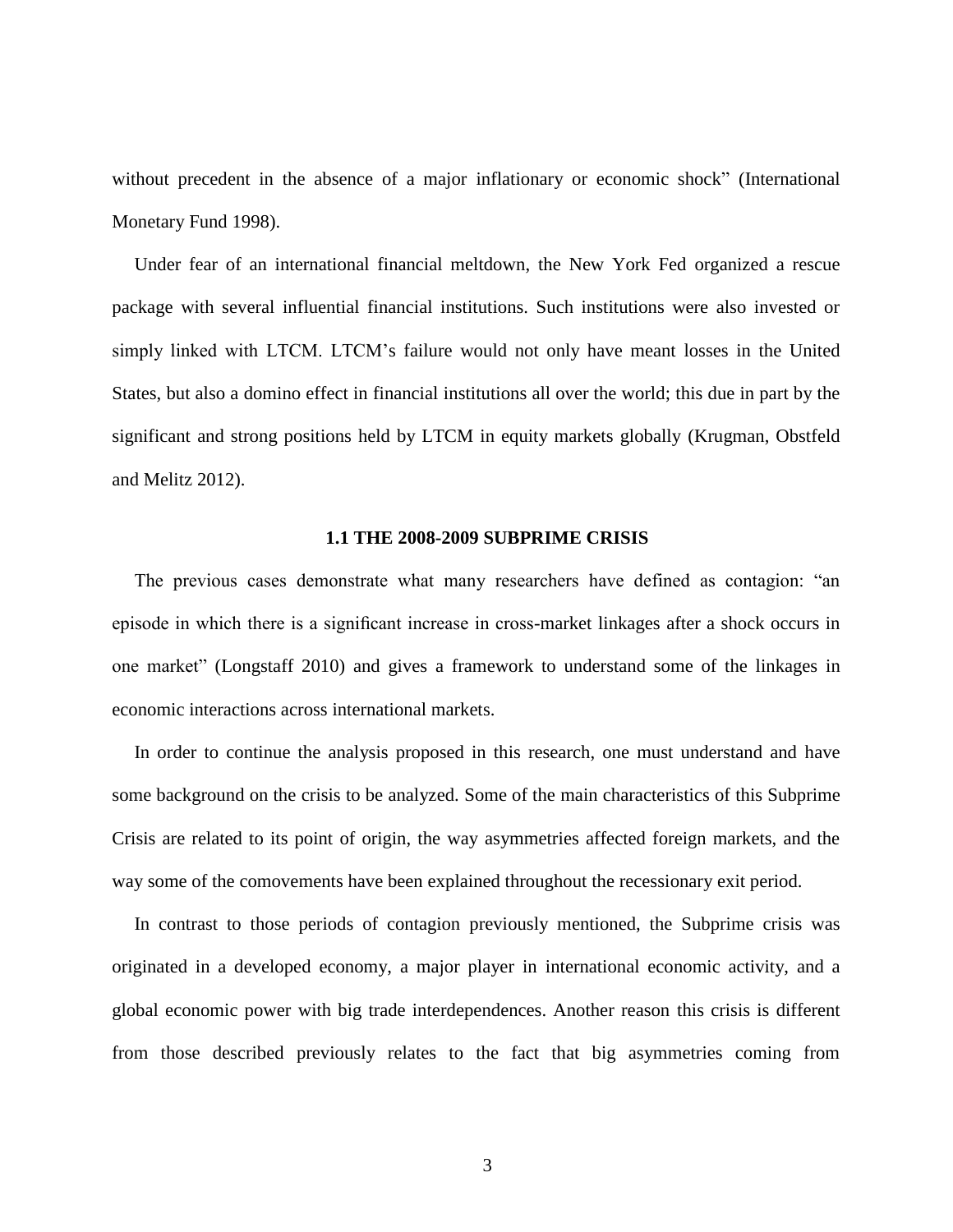without precedent in the absence of a major inflationary or economic shock" (International Monetary Fund 1998).

Under fear of an international financial meltdown, the New York Fed organized a rescue package with several influential financial institutions. Such institutions were also invested or simply linked with LTCM. LTCM's failure would not only have meant losses in the United States, but also a domino effect in financial institutions all over the world; this due in part by the significant and strong positions held by LTCM in equity markets globally (Krugman, Obstfeld and Melitz 2012).

#### **1.1 THE 2008-2009 SUBPRIME CRISIS**

<span id="page-8-0"></span>The previous cases demonstrate what many researchers have defined as contagion: "an episode in which there is a significant increase in cross-market linkages after a shock occurs in one market" (Longstaff 2010) and gives a framework to understand some of the linkages in economic interactions across international markets.

In order to continue the analysis proposed in this research, one must understand and have some background on the crisis to be analyzed. Some of the main characteristics of this Subprime Crisis are related to its point of origin, the way asymmetries affected foreign markets, and the way some of the comovements have been explained throughout the recessionary exit period.

In contrast to those periods of contagion previously mentioned, the Subprime crisis was originated in a developed economy, a major player in international economic activity, and a global economic power with big trade interdependences. Another reason this crisis is different from those described previously relates to the fact that big asymmetries coming from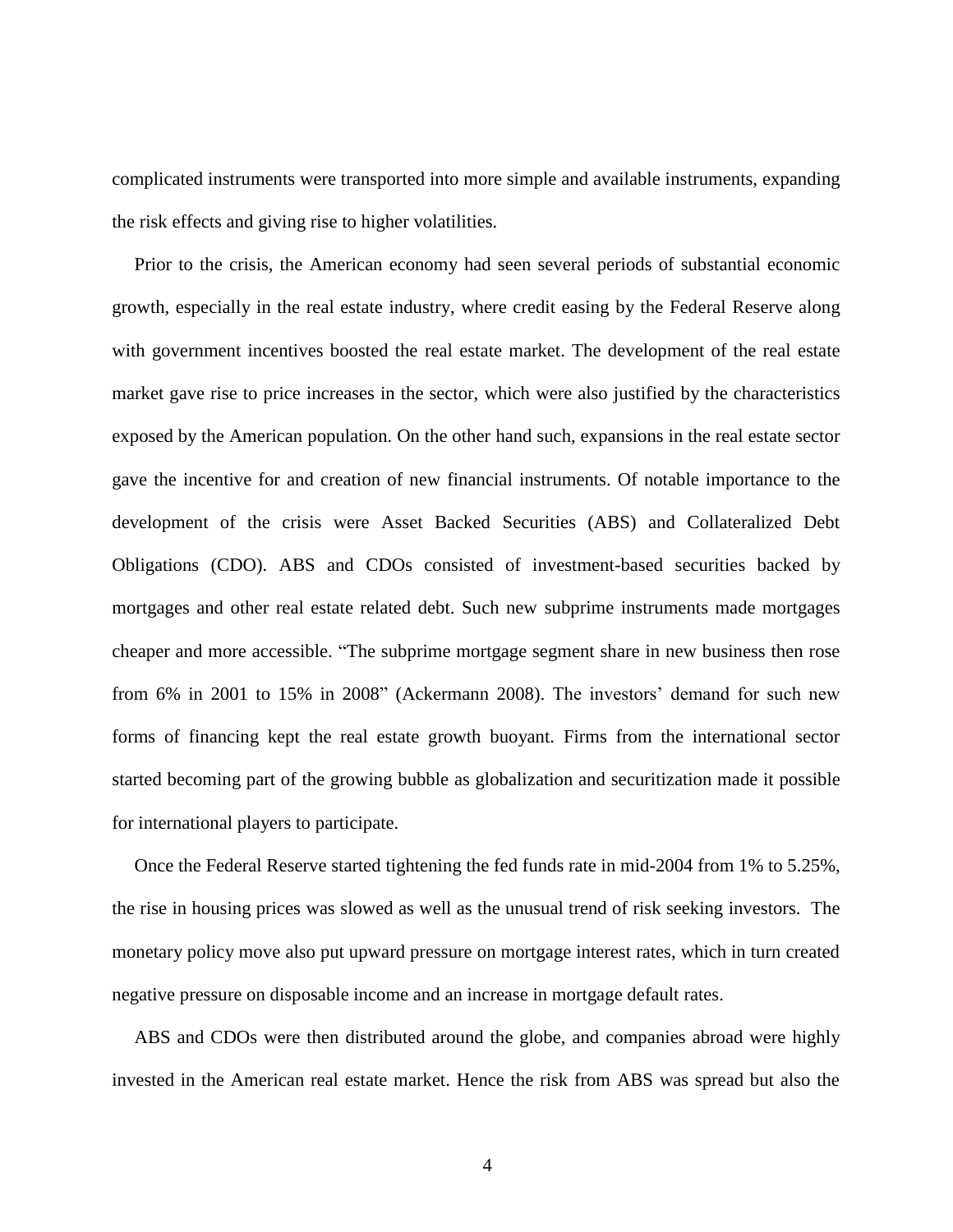complicated instruments were transported into more simple and available instruments, expanding the risk effects and giving rise to higher volatilities.

Prior to the crisis, the American economy had seen several periods of substantial economic growth, especially in the real estate industry, where credit easing by the Federal Reserve along with government incentives boosted the real estate market. The development of the real estate market gave rise to price increases in the sector, which were also justified by the characteristics exposed by the American population. On the other hand such, expansions in the real estate sector gave the incentive for and creation of new financial instruments. Of notable importance to the development of the crisis were Asset Backed Securities (ABS) and Collateralized Debt Obligations (CDO). ABS and CDOs consisted of investment-based securities backed by mortgages and other real estate related debt. Such new subprime instruments made mortgages cheaper and more accessible. "The subprime mortgage segment share in new business then rose from 6% in 2001 to 15% in 2008" (Ackermann 2008). The investors' demand for such new forms of financing kept the real estate growth buoyant. Firms from the international sector started becoming part of the growing bubble as globalization and securitization made it possible for international players to participate.

Once the Federal Reserve started tightening the fed funds rate in mid-2004 from 1% to 5.25%, the rise in housing prices was slowed as well as the unusual trend of risk seeking investors. The monetary policy move also put upward pressure on mortgage interest rates, which in turn created negative pressure on disposable income and an increase in mortgage default rates.

ABS and CDOs were then distributed around the globe, and companies abroad were highly invested in the American real estate market. Hence the risk from ABS was spread but also the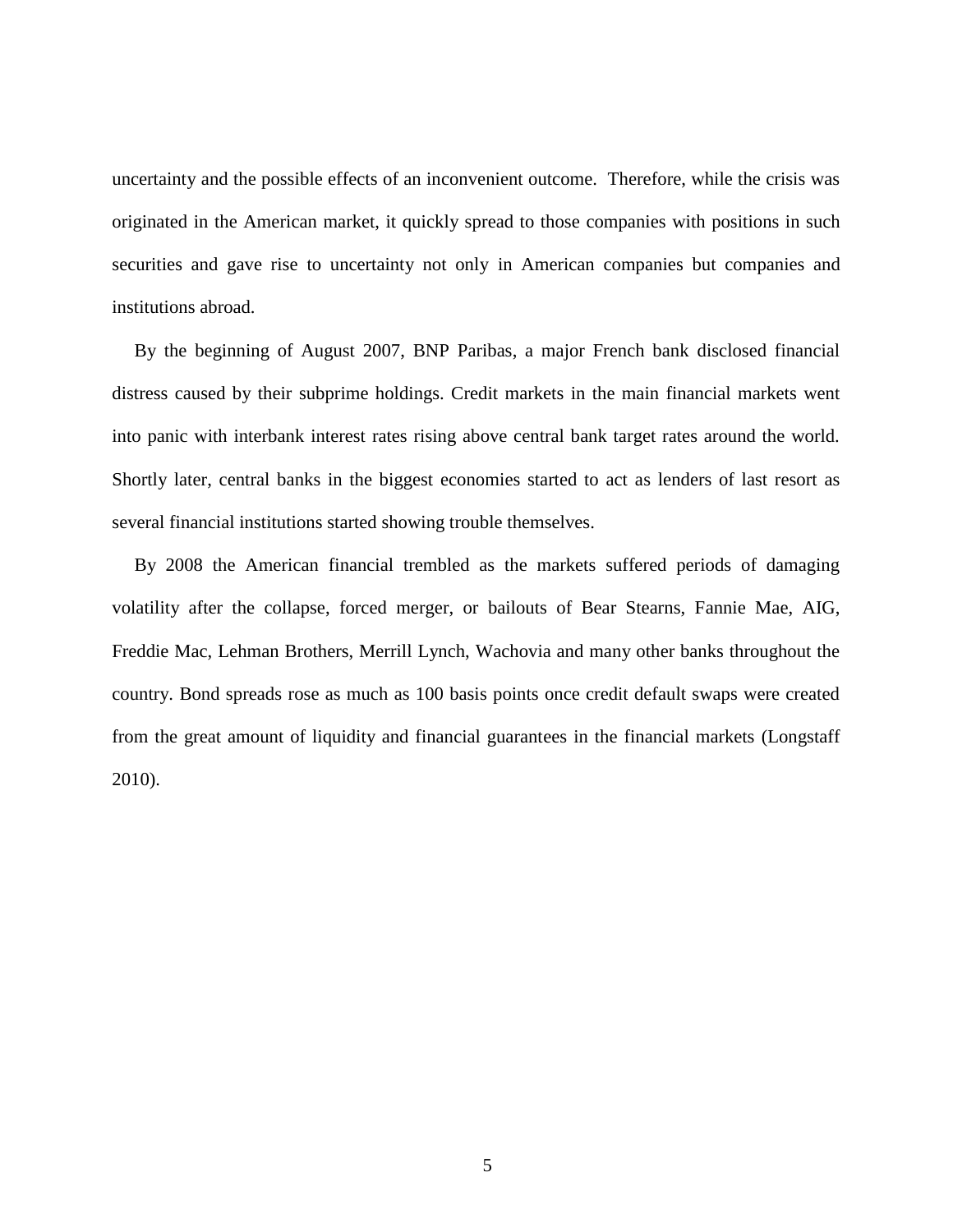uncertainty and the possible effects of an inconvenient outcome. Therefore, while the crisis was originated in the American market, it quickly spread to those companies with positions in such securities and gave rise to uncertainty not only in American companies but companies and institutions abroad.

By the beginning of August 2007, BNP Paribas, a major French bank disclosed financial distress caused by their subprime holdings. Credit markets in the main financial markets went into panic with interbank interest rates rising above central bank target rates around the world. Shortly later, central banks in the biggest economies started to act as lenders of last resort as several financial institutions started showing trouble themselves.

By 2008 the American financial trembled as the markets suffered periods of damaging volatility after the collapse, forced merger, or bailouts of Bear Stearns, Fannie Mae, AIG, Freddie Mac, Lehman Brothers, Merrill Lynch, Wachovia and many other banks throughout the country. Bond spreads rose as much as 100 basis points once credit default swaps were created from the great amount of liquidity and financial guarantees in the financial markets (Longstaff 2010).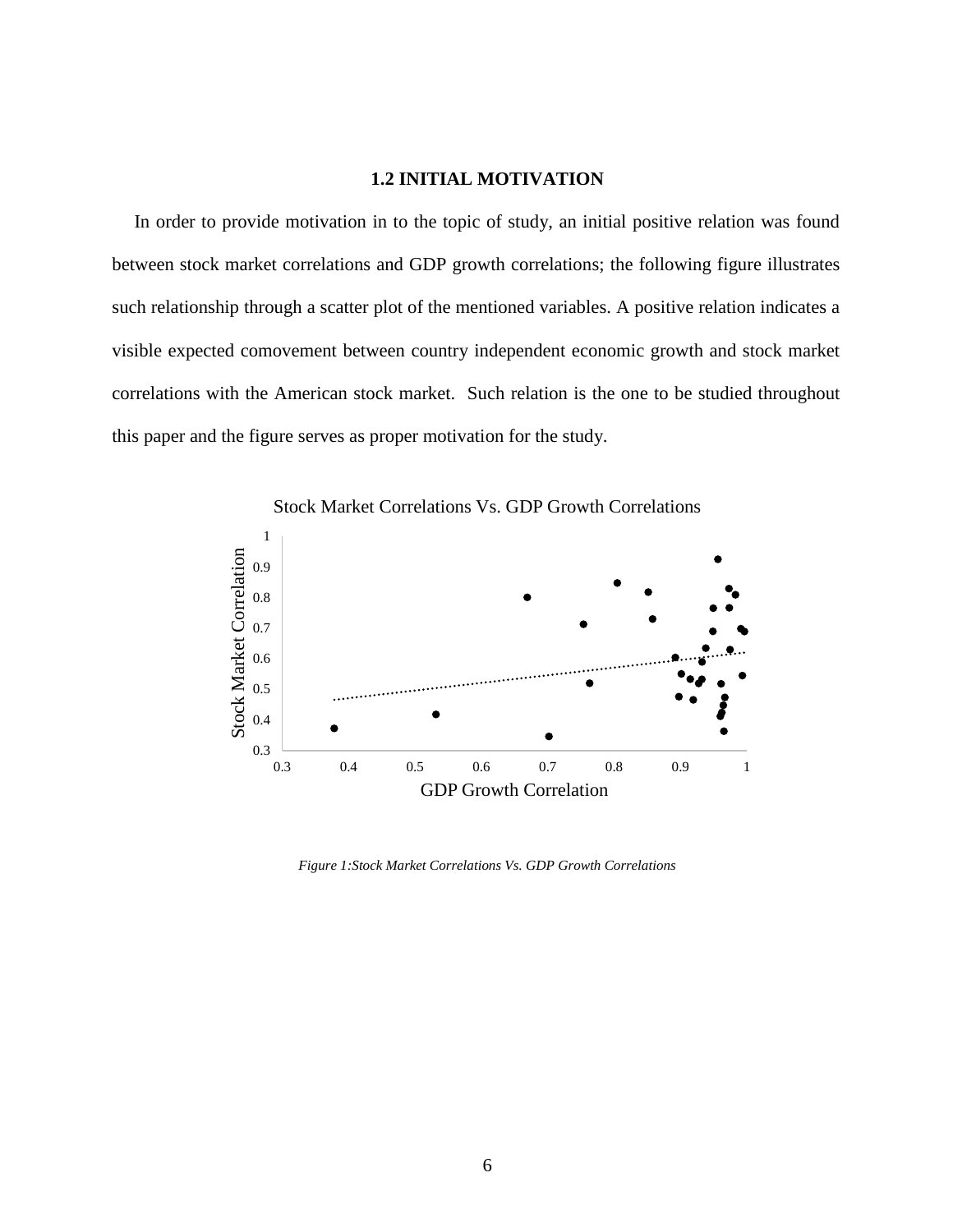#### **1.2 INITIAL MOTIVATION**

<span id="page-11-0"></span>In order to provide motivation in to the topic of study, an initial positive relation was found between stock market correlations and GDP growth correlations; the following figure illustrates such relationship through a scatter plot of the mentioned variables. A positive relation indicates a visible expected comovement between country independent economic growth and stock market correlations with the American stock market. Such relation is the one to be studied throughout this paper and the figure serves as proper motivation for the study.



<span id="page-11-1"></span>*Figure 1:Stock Market Correlations Vs. GDP Growth Correlations*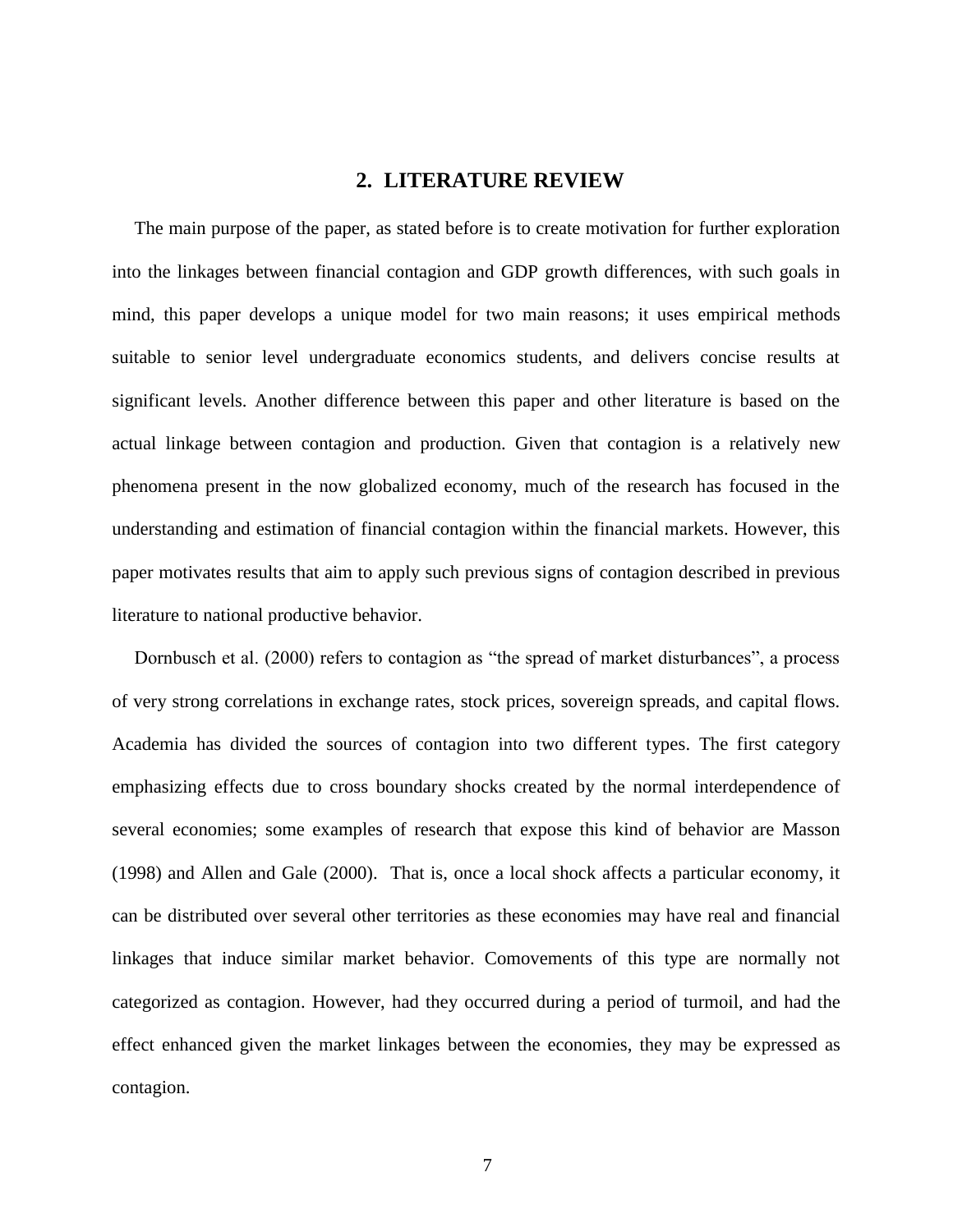# **2. LITERATURE REVIEW**

<span id="page-12-0"></span>The main purpose of the paper, as stated before is to create motivation for further exploration into the linkages between financial contagion and GDP growth differences, with such goals in mind, this paper develops a unique model for two main reasons; it uses empirical methods suitable to senior level undergraduate economics students, and delivers concise results at significant levels. Another difference between this paper and other literature is based on the actual linkage between contagion and production. Given that contagion is a relatively new phenomena present in the now globalized economy, much of the research has focused in the understanding and estimation of financial contagion within the financial markets. However, this paper motivates results that aim to apply such previous signs of contagion described in previous literature to national productive behavior.

Dornbusch et al. (2000) refers to contagion as "the spread of market disturbances", a process of very strong correlations in exchange rates, stock prices, sovereign spreads, and capital flows. Academia has divided the sources of contagion into two different types. The first category emphasizing effects due to cross boundary shocks created by the normal interdependence of several economies; some examples of research that expose this kind of behavior are Masson (1998) and Allen and Gale (2000). That is, once a local shock affects a particular economy, it can be distributed over several other territories as these economies may have real and financial linkages that induce similar market behavior. Comovements of this type are normally not categorized as contagion. However, had they occurred during a period of turmoil, and had the effect enhanced given the market linkages between the economies, they may be expressed as contagion.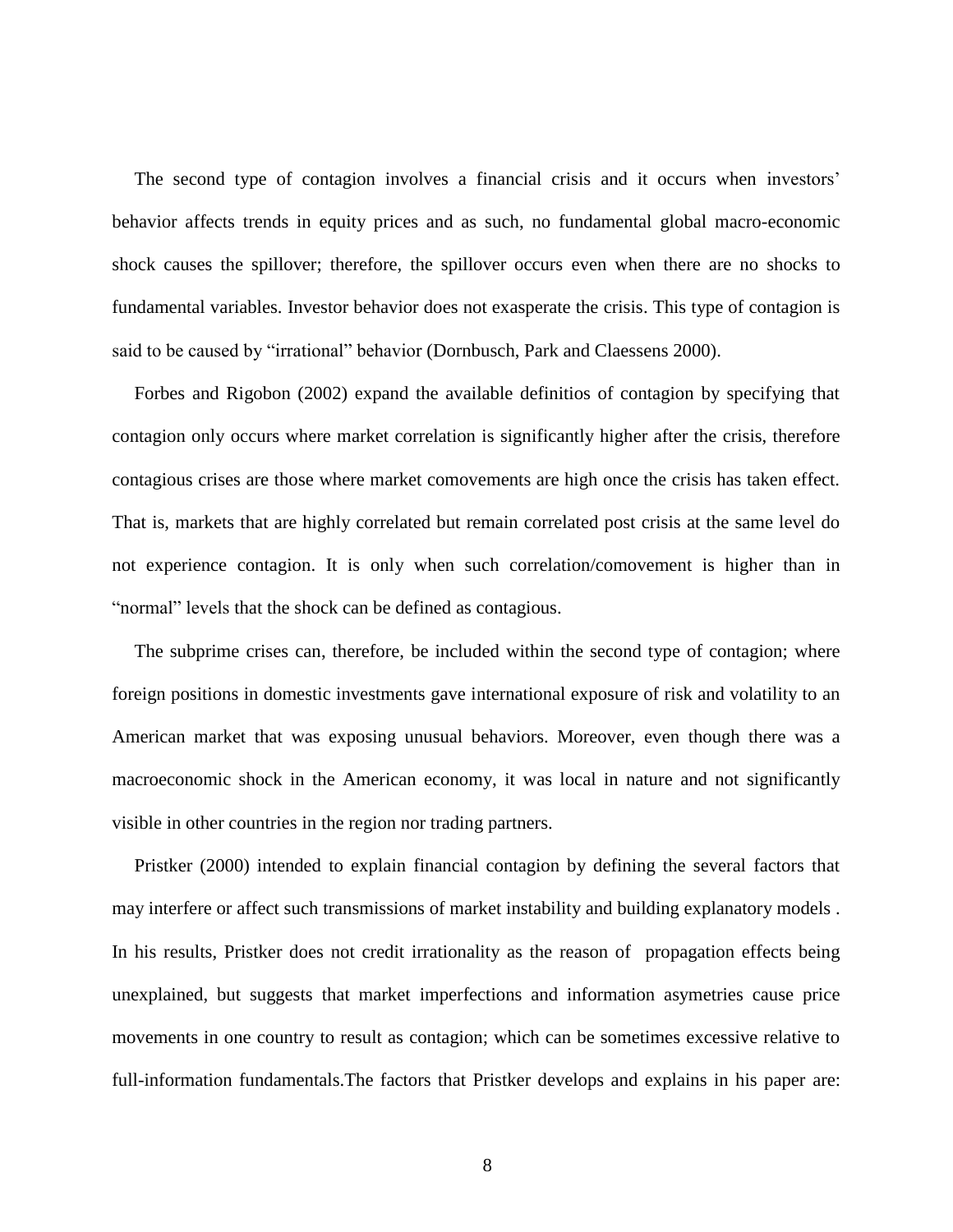The second type of contagion involves a financial crisis and it occurs when investors' behavior affects trends in equity prices and as such, no fundamental global macro-economic shock causes the spillover; therefore, the spillover occurs even when there are no shocks to fundamental variables. Investor behavior does not exasperate the crisis. This type of contagion is said to be caused by "irrational" behavior (Dornbusch, Park and Claessens 2000).

Forbes and Rigobon (2002) expand the available definitios of contagion by specifying that contagion only occurs where market correlation is significantly higher after the crisis, therefore contagious crises are those where market comovements are high once the crisis has taken effect. That is, markets that are highly correlated but remain correlated post crisis at the same level do not experience contagion. It is only when such correlation/comovement is higher than in "normal" levels that the shock can be defined as contagious.

The subprime crises can, therefore, be included within the second type of contagion; where foreign positions in domestic investments gave international exposure of risk and volatility to an American market that was exposing unusual behaviors. Moreover, even though there was a macroeconomic shock in the American economy, it was local in nature and not significantly visible in other countries in the region nor trading partners.

Pristker (2000) intended to explain financial contagion by defining the several factors that may interfere or affect such transmissions of market instability and building explanatory models . In his results, Pristker does not credit irrationality as the reason of propagation effects being unexplained, but suggests that market imperfections and information asymetries cause price movements in one country to result as contagion; which can be sometimes excessive relative to full-information fundamentals.The factors that Pristker develops and explains in his paper are: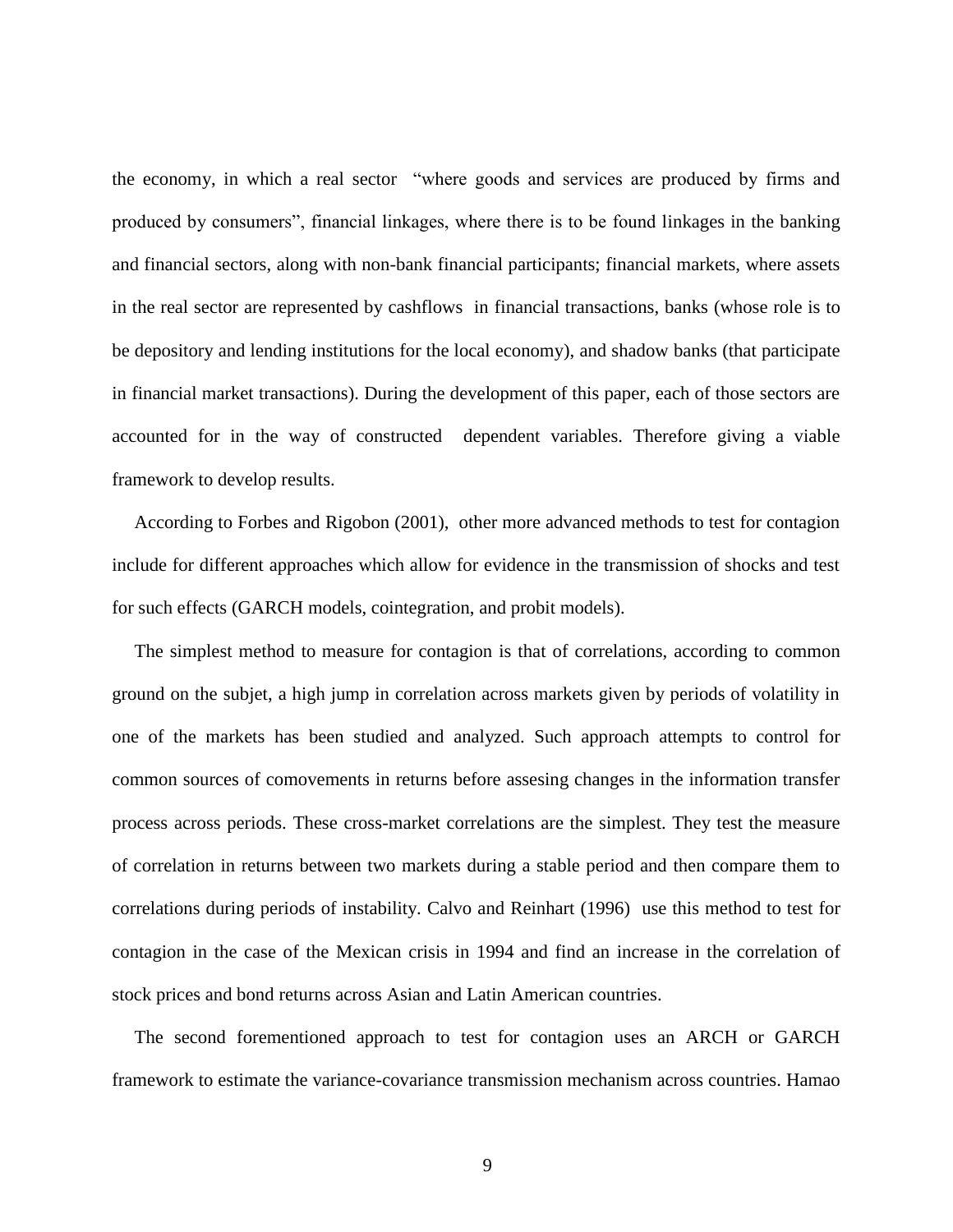the economy, in which a real sector "where goods and services are produced by firms and produced by consumers", financial linkages, where there is to be found linkages in the banking and financial sectors, along with non-bank financial participants; financial markets, where assets in the real sector are represented by cashflows in financial transactions, banks (whose role is to be depository and lending institutions for the local economy), and shadow banks (that participate in financial market transactions). During the development of this paper, each of those sectors are accounted for in the way of constructed dependent variables. Therefore giving a viable framework to develop results.

According to Forbes and Rigobon (2001), other more advanced methods to test for contagion include for different approaches which allow for evidence in the transmission of shocks and test for such effects (GARCH models, cointegration, and probit models).

The simplest method to measure for contagion is that of correlations, according to common ground on the subjet, a high jump in correlation across markets given by periods of volatility in one of the markets has been studied and analyzed. Such approach attempts to control for common sources of comovements in returns before assesing changes in the information transfer process across periods. These cross-market correlations are the simplest. They test the measure of correlation in returns between two markets during a stable period and then compare them to correlations during periods of instability. Calvo and Reinhart (1996) use this method to test for contagion in the case of the Mexican crisis in 1994 and find an increase in the correlation of stock prices and bond returns across Asian and Latin American countries.

The second forementioned approach to test for contagion uses an ARCH or GARCH framework to estimate the variance-covariance transmission mechanism across countries. Hamao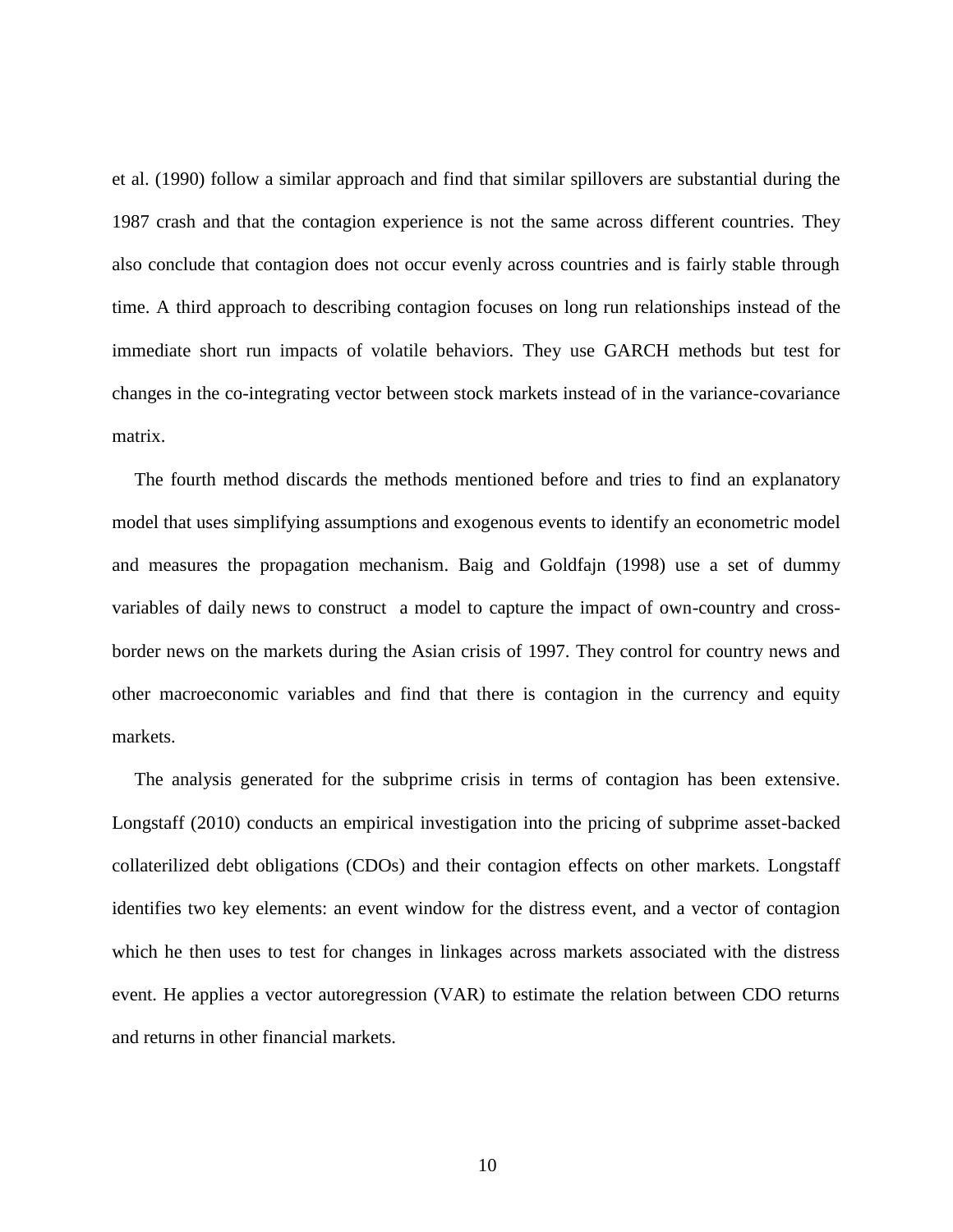et al. (1990) follow a similar approach and find that similar spillovers are substantial during the 1987 crash and that the contagion experience is not the same across different countries. They also conclude that contagion does not occur evenly across countries and is fairly stable through time. A third approach to describing contagion focuses on long run relationships instead of the immediate short run impacts of volatile behaviors. They use GARCH methods but test for changes in the co-integrating vector between stock markets instead of in the variance-covariance matrix.

The fourth method discards the methods mentioned before and tries to find an explanatory model that uses simplifying assumptions and exogenous events to identify an econometric model and measures the propagation mechanism. Baig and Goldfajn (1998) use a set of dummy variables of daily news to construct a model to capture the impact of own-country and crossborder news on the markets during the Asian crisis of 1997. They control for country news and other macroeconomic variables and find that there is contagion in the currency and equity markets.

The analysis generated for the subprime crisis in terms of contagion has been extensive. Longstaff (2010) conducts an empirical investigation into the pricing of subprime asset-backed collaterilized debt obligations (CDOs) and their contagion effects on other markets. Longstaff identifies two key elements: an event window for the distress event, and a vector of contagion which he then uses to test for changes in linkages across markets associated with the distress event. He applies a vector autoregression (VAR) to estimate the relation between CDO returns and returns in other financial markets.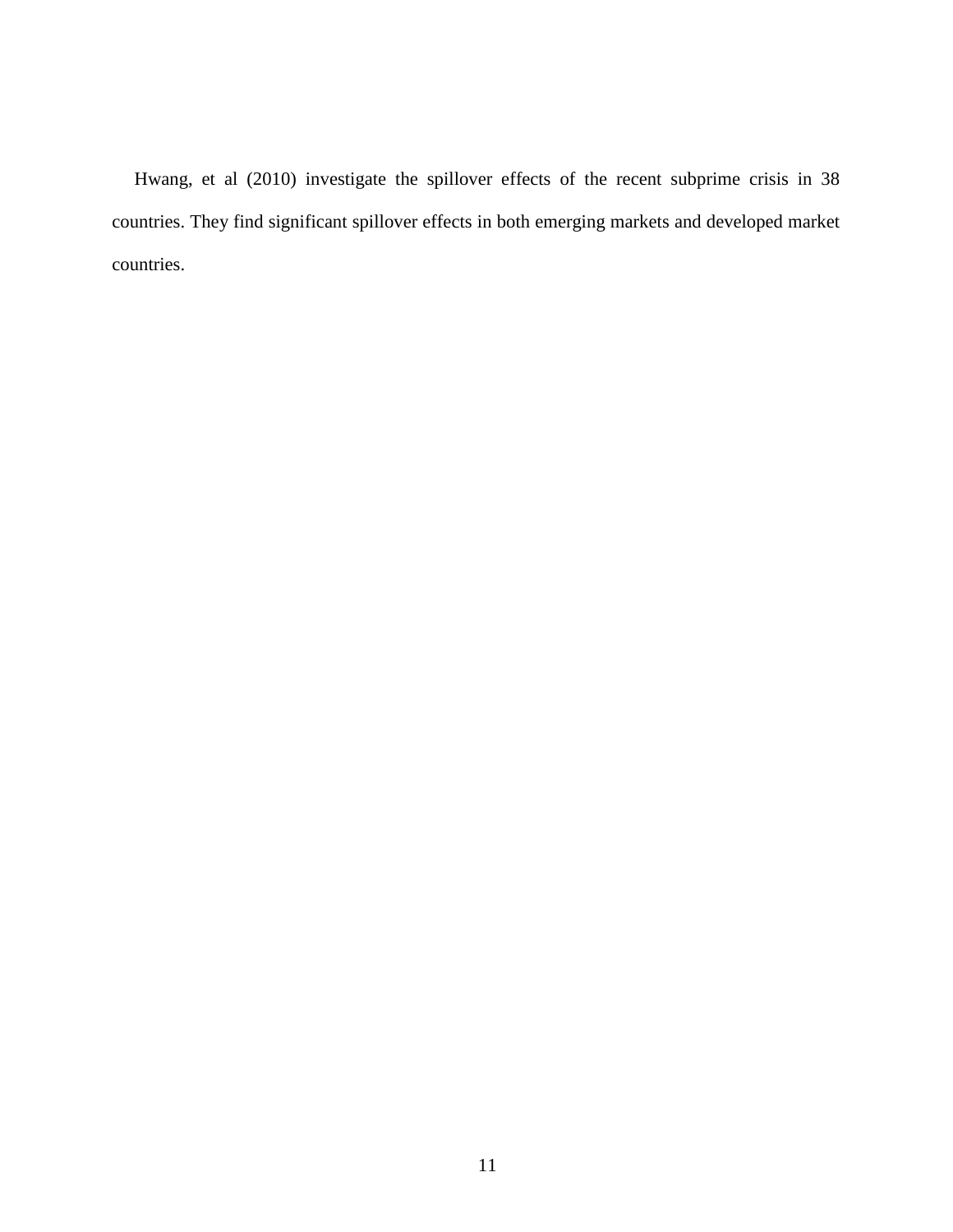Hwang, et al (2010) investigate the spillover effects of the recent subprime crisis in 38 countries. They find significant spillover effects in both emerging markets and developed market countries.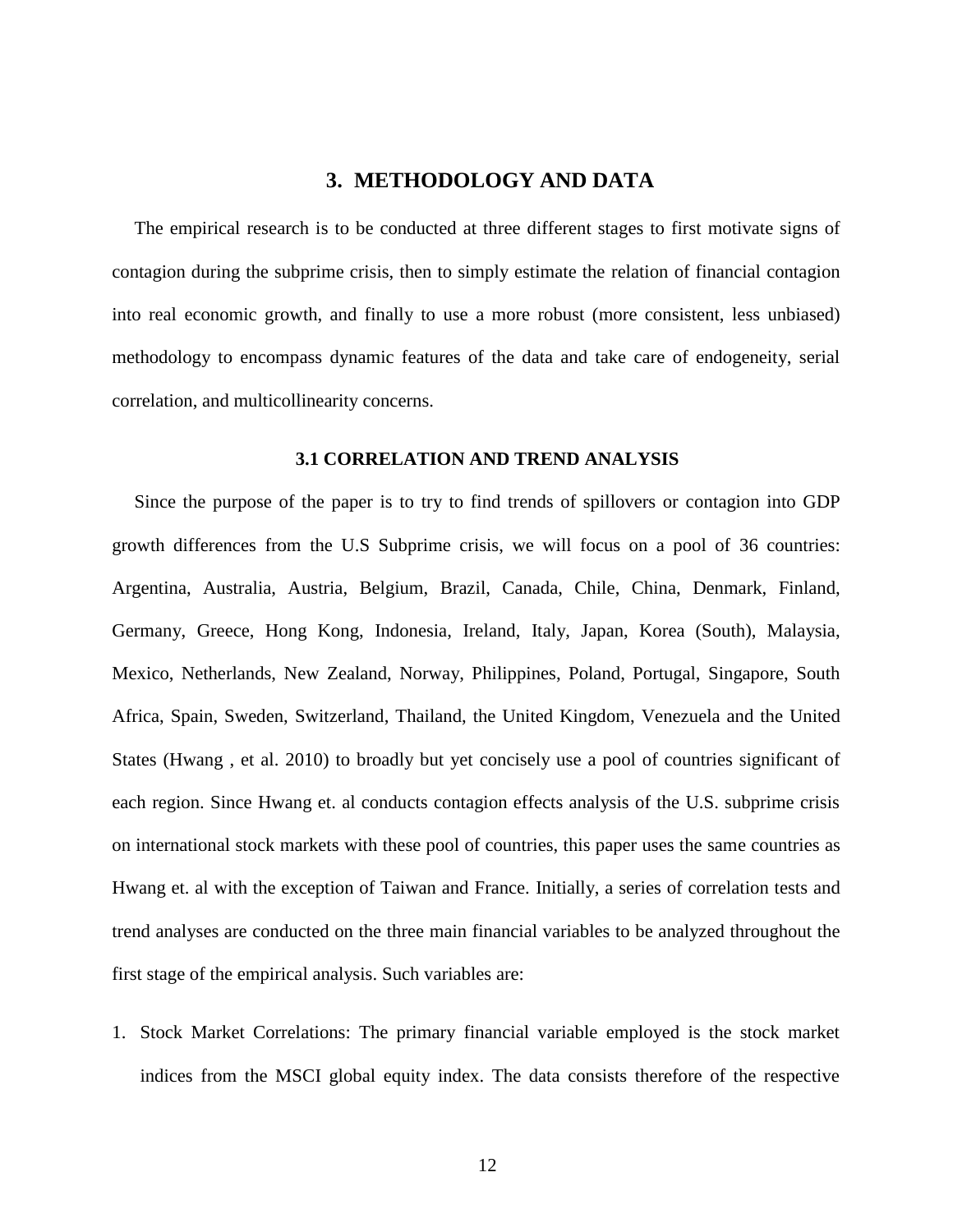## **3. METHODOLOGY AND DATA**

<span id="page-17-0"></span>The empirical research is to be conducted at three different stages to first motivate signs of contagion during the subprime crisis, then to simply estimate the relation of financial contagion into real economic growth, and finally to use a more robust (more consistent, less unbiased) methodology to encompass dynamic features of the data and take care of endogeneity, serial correlation, and multicollinearity concerns.

#### **3.1 CORRELATION AND TREND ANALYSIS**

<span id="page-17-1"></span>Since the purpose of the paper is to try to find trends of spillovers or contagion into GDP growth differences from the U.S Subprime crisis, we will focus on a pool of 36 countries: Argentina, Australia, Austria, Belgium, Brazil, Canada, Chile, China, Denmark, Finland, Germany, Greece, Hong Kong, Indonesia, Ireland, Italy, Japan, Korea (South), Malaysia, Mexico, Netherlands, New Zealand, Norway, Philippines, Poland, Portugal, Singapore, South Africa, Spain, Sweden, Switzerland, Thailand, the United Kingdom, Venezuela and the United States (Hwang , et al. 2010) to broadly but yet concisely use a pool of countries significant of each region. Since Hwang et. al conducts contagion effects analysis of the U.S. subprime crisis on international stock markets with these pool of countries, this paper uses the same countries as Hwang et. al with the exception of Taiwan and France. Initially, a series of correlation tests and trend analyses are conducted on the three main financial variables to be analyzed throughout the first stage of the empirical analysis. Such variables are:

1. Stock Market Correlations: The primary financial variable employed is the stock market indices from the MSCI global equity index. The data consists therefore of the respective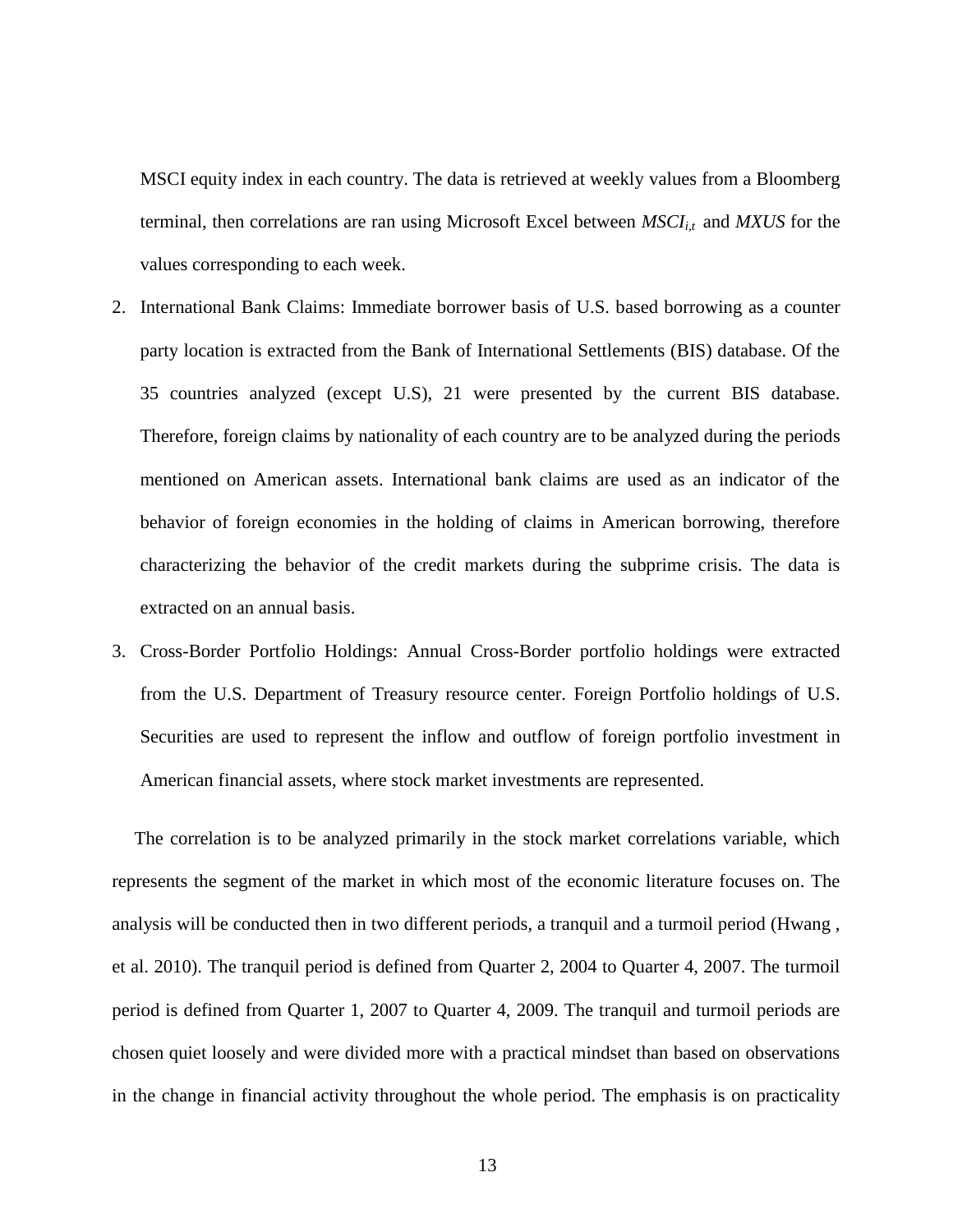MSCI equity index in each country. The data is retrieved at weekly values from a Bloomberg terminal, then correlations are ran using Microsoft Excel between *MSCIi,t* and *MXUS* for the values corresponding to each week.

- 2. International Bank Claims: Immediate borrower basis of U.S. based borrowing as a counter party location is extracted from the Bank of International Settlements (BIS) database. Of the 35 countries analyzed (except U.S), 21 were presented by the current BIS database. Therefore, foreign claims by nationality of each country are to be analyzed during the periods mentioned on American assets. International bank claims are used as an indicator of the behavior of foreign economies in the holding of claims in American borrowing, therefore characterizing the behavior of the credit markets during the subprime crisis. The data is extracted on an annual basis.
- 3. Cross-Border Portfolio Holdings: Annual Cross-Border portfolio holdings were extracted from the U.S. Department of Treasury resource center. Foreign Portfolio holdings of U.S. Securities are used to represent the inflow and outflow of foreign portfolio investment in American financial assets, where stock market investments are represented.

The correlation is to be analyzed primarily in the stock market correlations variable, which represents the segment of the market in which most of the economic literature focuses on. The analysis will be conducted then in two different periods, a tranquil and a turmoil period (Hwang , et al. 2010). The tranquil period is defined from Quarter 2, 2004 to Quarter 4, 2007. The turmoil period is defined from Quarter 1, 2007 to Quarter 4, 2009. The tranquil and turmoil periods are chosen quiet loosely and were divided more with a practical mindset than based on observations in the change in financial activity throughout the whole period. The emphasis is on practicality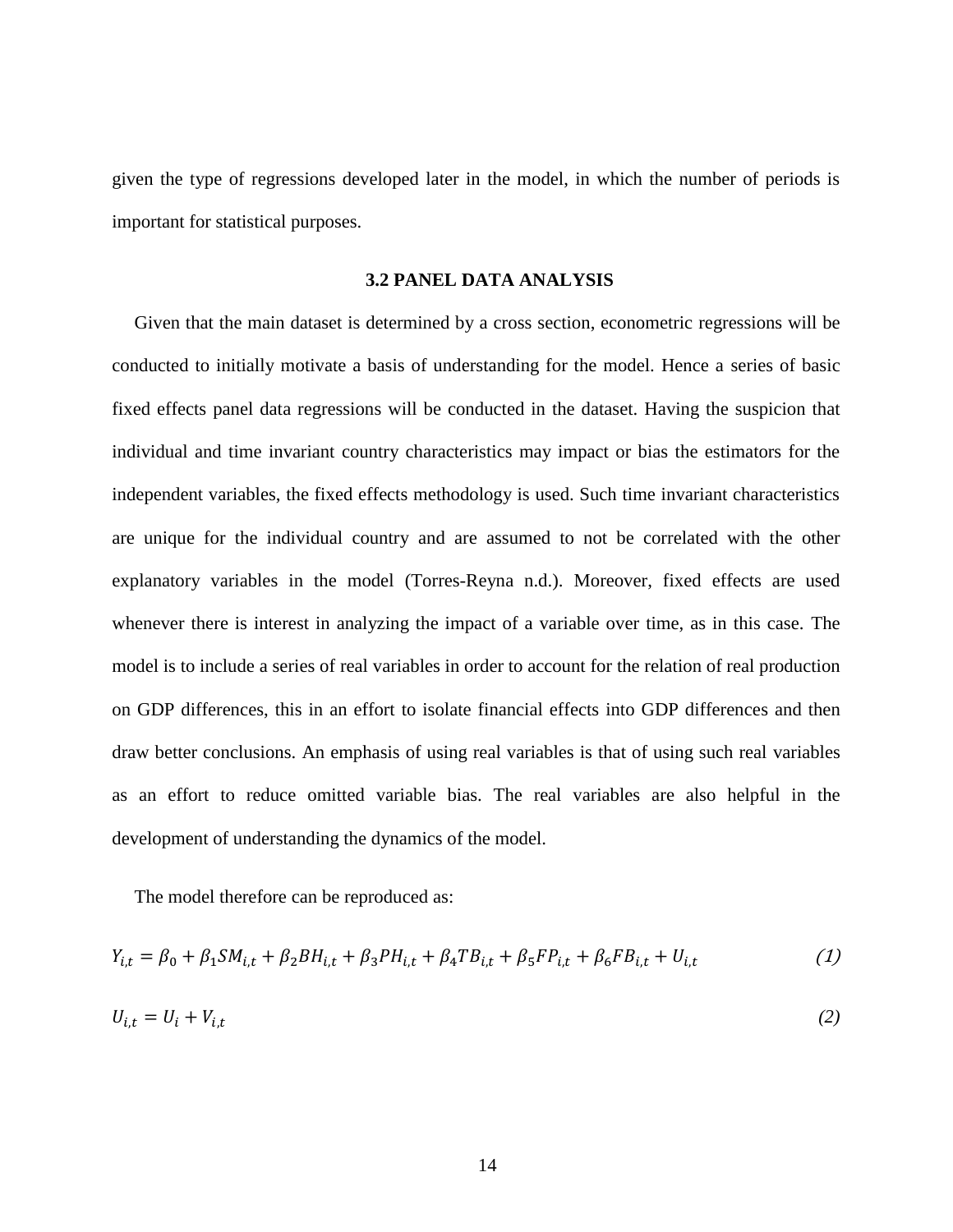given the type of regressions developed later in the model, in which the number of periods is important for statistical purposes.

#### <span id="page-19-0"></span>**3.2 PANEL DATA ANALYSIS**

Given that the main dataset is determined by a cross section, econometric regressions will be conducted to initially motivate a basis of understanding for the model. Hence a series of basic fixed effects panel data regressions will be conducted in the dataset. Having the suspicion that individual and time invariant country characteristics may impact or bias the estimators for the independent variables, the fixed effects methodology is used. Such time invariant characteristics are unique for the individual country and are assumed to not be correlated with the other explanatory variables in the model (Torres-Reyna n.d.). Moreover, fixed effects are used whenever there is interest in analyzing the impact of a variable over time, as in this case. The model is to include a series of real variables in order to account for the relation of real production on GDP differences, this in an effort to isolate financial effects into GDP differences and then draw better conclusions. An emphasis of using real variables is that of using such real variables as an effort to reduce omitted variable bias. The real variables are also helpful in the development of understanding the dynamics of the model.

The model therefore can be reproduced as:

$$
Y_{i,t} = \beta_0 + \beta_1 SM_{i,t} + \beta_2 BH_{i,t} + \beta_3 PH_{i,t} + \beta_4 TB_{i,t} + \beta_5 FP_{i,t} + \beta_6 FB_{i,t} + U_{i,t}
$$
 (1)

$$
U_{i,t} = U_i + V_{i,t} \tag{2}
$$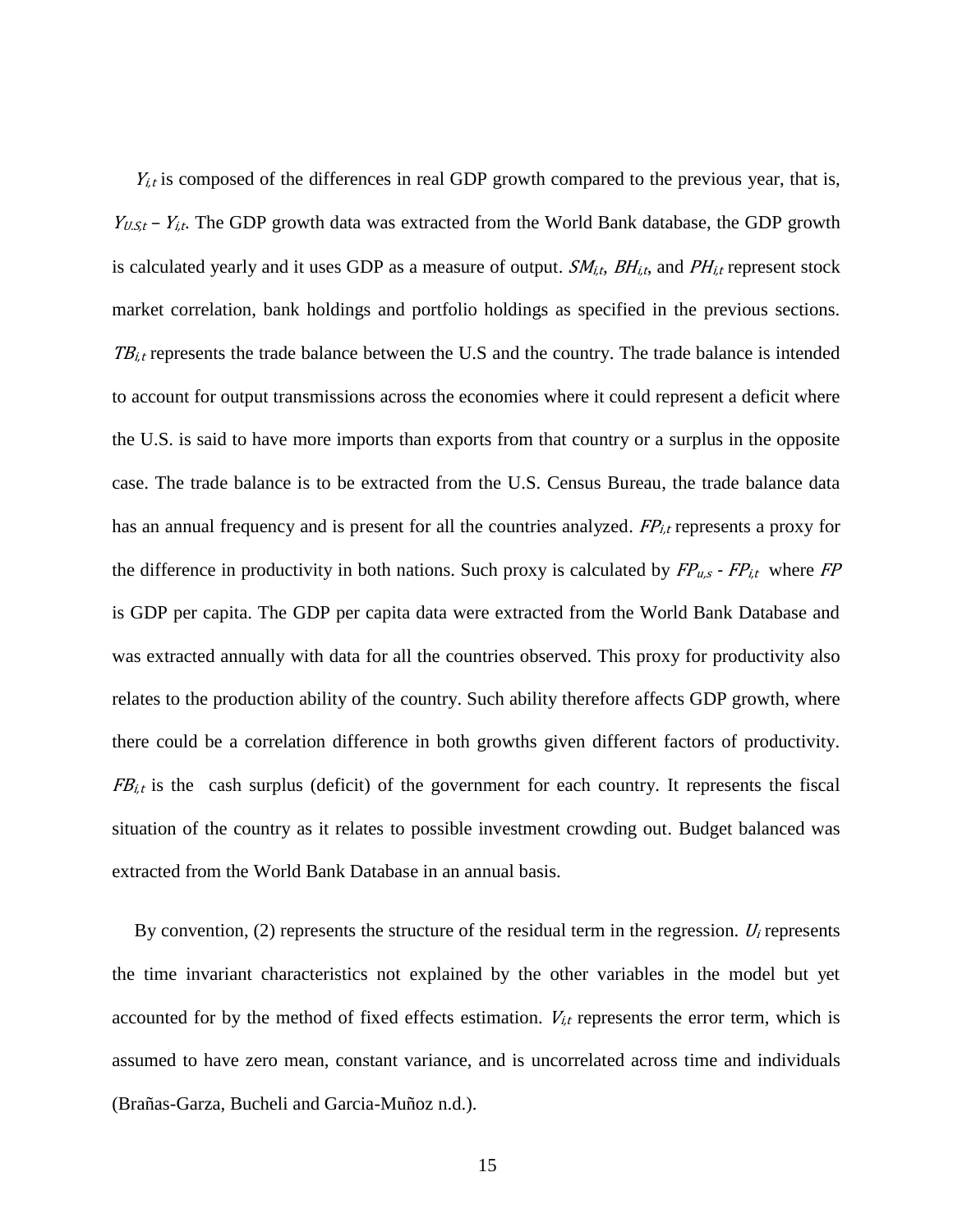$Y_{i,t}$  is composed of the differences in real GDP growth compared to the previous year, that is,  $Y_{U.S,t}$  –  $Y_{i,t}$ . The GDP growth data was extracted from the World Bank database, the GDP growth is calculated yearly and it uses GDP as a measure of output.  $SM_{i,t}$ ,  $BH_{i,t}$ , and  $PH_{i,t}$  represent stock market correlation, bank holdings and portfolio holdings as specified in the previous sections.  $TB_{i,t}$  represents the trade balance between the U.S and the country. The trade balance is intended to account for output transmissions across the economies where it could represent a deficit where the U.S. is said to have more imports than exports from that country or a surplus in the opposite case. The trade balance is to be extracted from the U.S. Census Bureau, the trade balance data has an annual frequency and is present for all the countries analyzed.  $FP_{i,t}$  represents a proxy for the difference in productivity in both nations. Such proxy is calculated by  $FP_{u,s}$  -  $FP_{i,t}$  where  $FP$ is GDP per capita. The GDP per capita data were extracted from the World Bank Database and was extracted annually with data for all the countries observed. This proxy for productivity also relates to the production ability of the country. Such ability therefore affects GDP growth, where there could be a correlation difference in both growths given different factors of productivity.  $FB<sub>i,t</sub>$  is the cash surplus (deficit) of the government for each country. It represents the fiscal situation of the country as it relates to possible investment crowding out. Budget balanced was extracted from the World Bank Database in an annual basis.

By convention,  $(2)$  represents the structure of the residual term in the regression.  $U_i$  represents the time invariant characteristics not explained by the other variables in the model but yet accounted for by the method of fixed effects estimation.  $V_{i,t}$  represents the error term, which is assumed to have zero mean, constant variance, and is uncorrelated across time and individuals (Brañas-Garza, Bucheli and Garcia-Muñoz n.d.).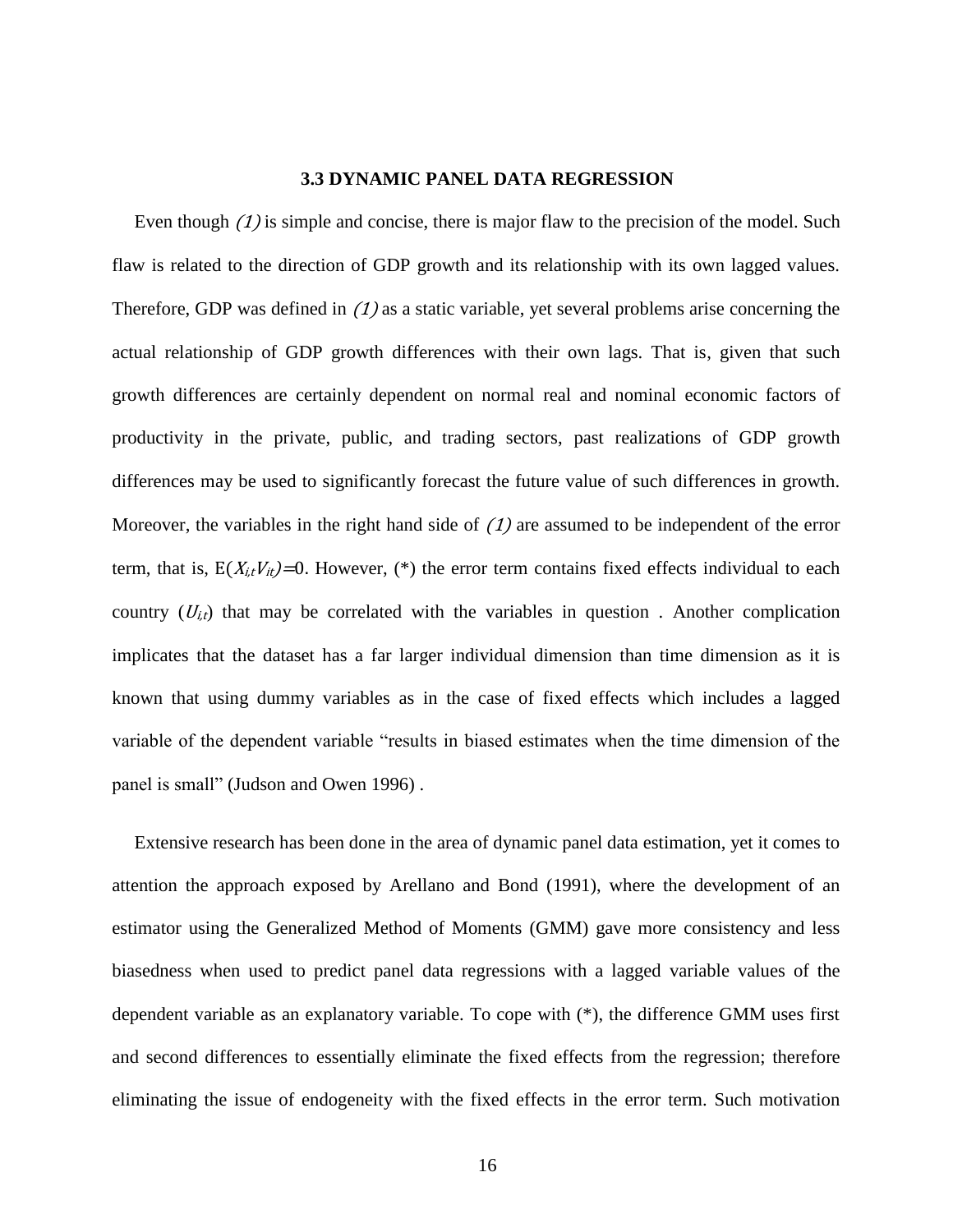#### **3.3 DYNAMIC PANEL DATA REGRESSION**

<span id="page-21-0"></span>Even though (1) is simple and concise, there is major flaw to the precision of the model. Such flaw is related to the direction of GDP growth and its relationship with its own lagged values. Therefore, GDP was defined in  $(1)$  as a static variable, yet several problems arise concerning the actual relationship of GDP growth differences with their own lags. That is, given that such growth differences are certainly dependent on normal real and nominal economic factors of productivity in the private, public, and trading sectors, past realizations of GDP growth differences may be used to significantly forecast the future value of such differences in growth. Moreover, the variables in the right hand side of  $(1)$  are assumed to be independent of the error term, that is,  $E(X_{i,t}V_{it})=0$ . However, (\*) the error term contains fixed effects individual to each country  $(U_{i,t})$  that may be correlated with the variables in question. Another complication implicates that the dataset has a far larger individual dimension than time dimension as it is known that using dummy variables as in the case of fixed effects which includes a lagged variable of the dependent variable "results in biased estimates when the time dimension of the panel is small" (Judson and Owen 1996) .

Extensive research has been done in the area of dynamic panel data estimation, yet it comes to attention the approach exposed by Arellano and Bond (1991), where the development of an estimator using the Generalized Method of Moments (GMM) gave more consistency and less biasedness when used to predict panel data regressions with a lagged variable values of the dependent variable as an explanatory variable. To cope with (\*), the difference GMM uses first and second differences to essentially eliminate the fixed effects from the regression; therefore eliminating the issue of endogeneity with the fixed effects in the error term. Such motivation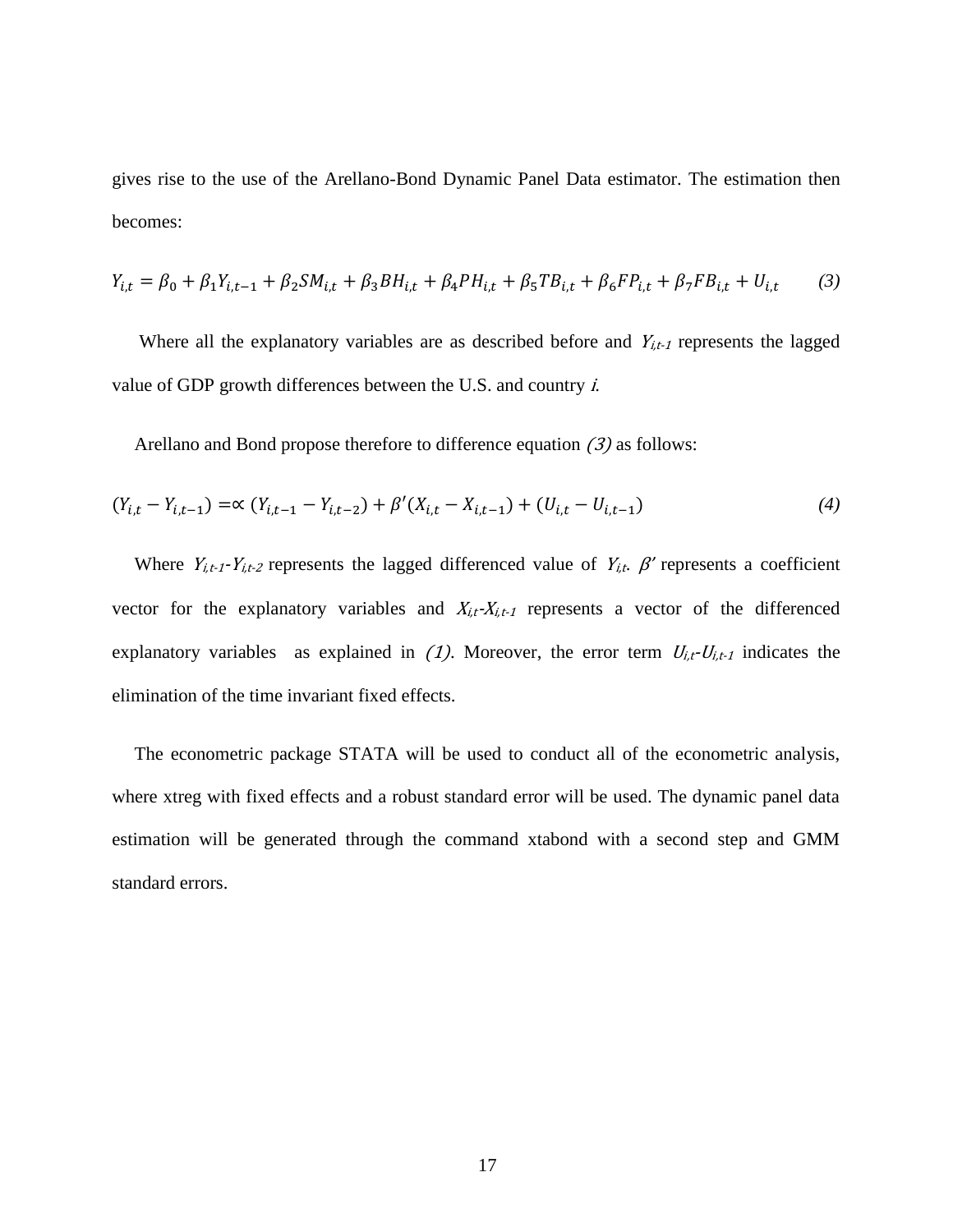gives rise to the use of the Arellano-Bond Dynamic Panel Data estimator. The estimation then becomes:

$$
Y_{i,t} = \beta_0 + \beta_1 Y_{i,t-1} + \beta_2 SM_{i,t} + \beta_3 BH_{i,t} + \beta_4 PH_{i,t} + \beta_5 TB_{i,t} + \beta_6 FP_{i,t} + \beta_7 FB_{i,t} + U_{i,t} \tag{3}
$$

Where all the explanatory variables are as described before and  $Y_{i,t-1}$  represents the lagged value of GDP growth differences between the U.S. and country i.

Arellano and Bond propose therefore to difference equation (3) as follows:

$$
(Y_{i,t} - Y_{i,t-1}) = \alpha (Y_{i,t-1} - Y_{i,t-2}) + \beta'(X_{i,t} - X_{i,t-1}) + (U_{i,t} - U_{i,t-1})
$$
\n
$$
(4)
$$

Where  $Y_{i,t-1}-Y_{i,t-2}$  represents the lagged differenced value of  $Y_{i,t}$ .  $\beta'$  represents a coefficient vector for the explanatory variables and  $X_{i,t} - X_{i,t-1}$  represents a vector of the differenced explanatory variables as explained in  $(1)$ . Moreover, the error term  $U_{i,t}U_{i,t-1}$  indicates the elimination of the time invariant fixed effects.

The econometric package STATA will be used to conduct all of the econometric analysis, where xtreg with fixed effects and a robust standard error will be used. The dynamic panel data estimation will be generated through the command xtabond with a second step and GMM standard errors.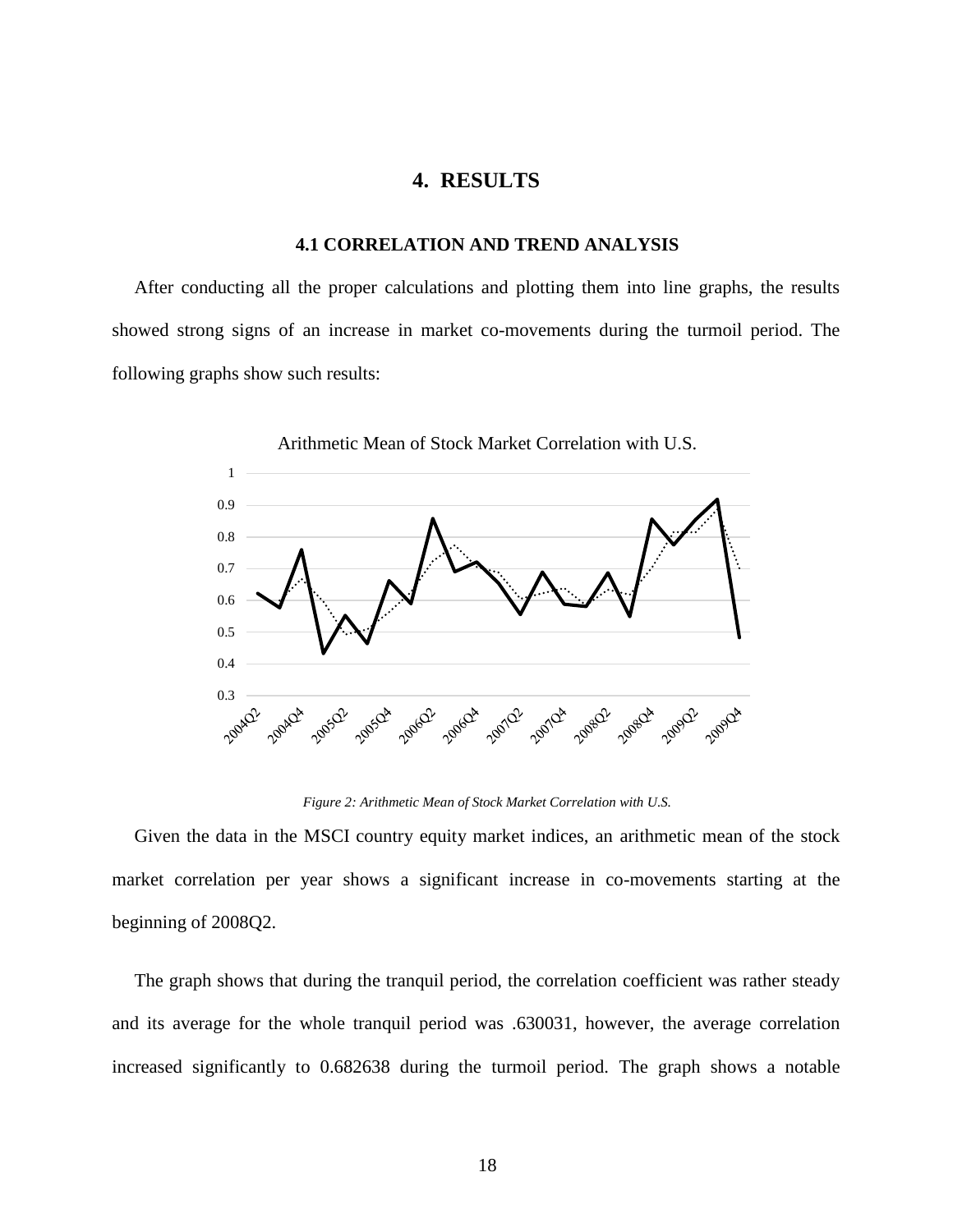# **4. RESULTS**

#### **4.1 CORRELATION AND TREND ANALYSIS**

<span id="page-23-1"></span><span id="page-23-0"></span>After conducting all the proper calculations and plotting them into line graphs, the results showed strong signs of an increase in market co-movements during the turmoil period. The following graphs show such results:



*Figure 2: Arithmetic Mean of Stock Market Correlation with U.S.*

<span id="page-23-2"></span>Given the data in the MSCI country equity market indices, an arithmetic mean of the stock market correlation per year shows a significant increase in co-movements starting at the beginning of 2008Q2.

The graph shows that during the tranquil period, the correlation coefficient was rather steady and its average for the whole tranquil period was .630031, however, the average correlation increased significantly to 0.682638 during the turmoil period. The graph shows a notable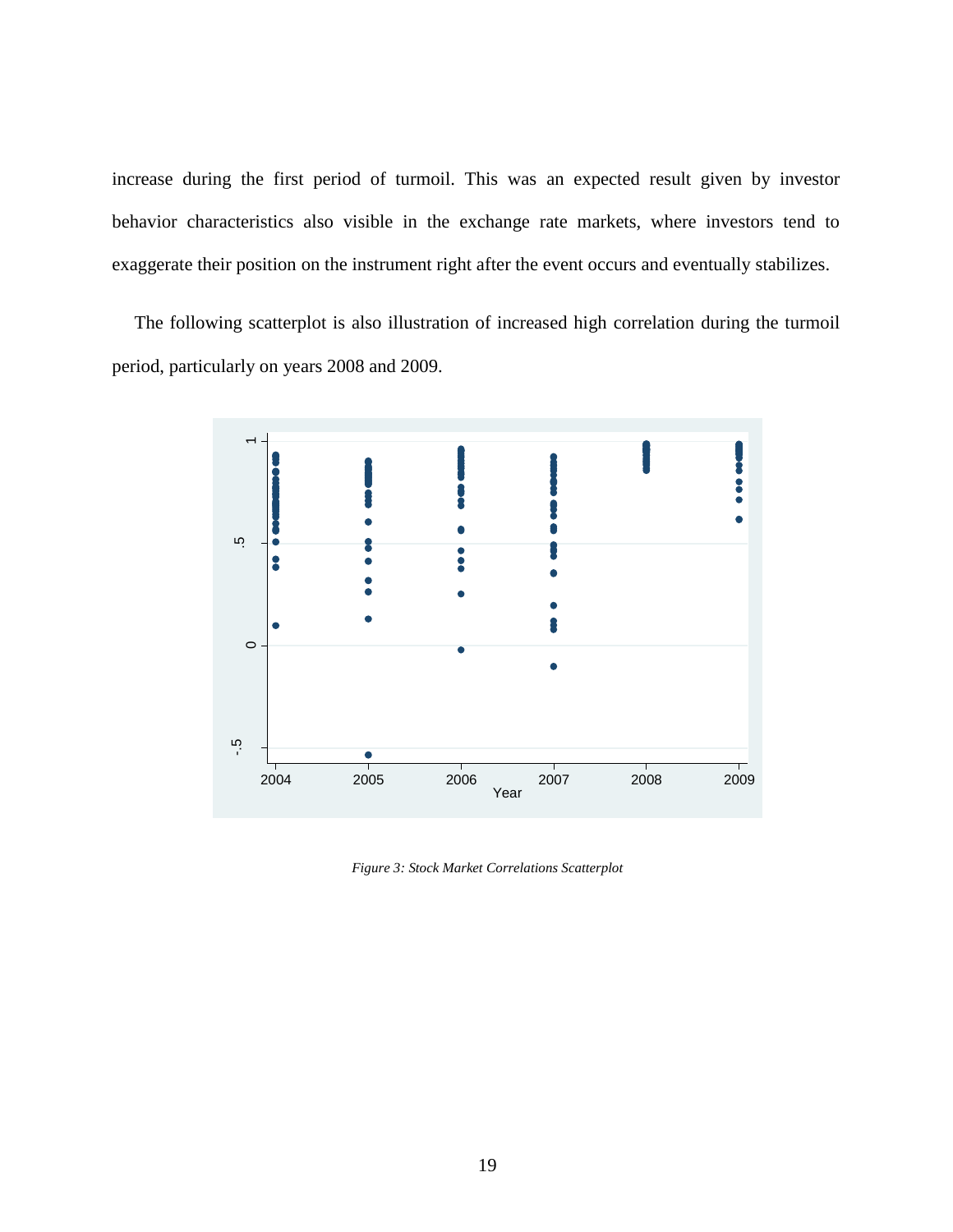increase during the first period of turmoil. This was an expected result given by investor behavior characteristics also visible in the exchange rate markets, where investors tend to exaggerate their position on the instrument right after the event occurs and eventually stabilizes.

The following scatterplot is also illustration of increased high correlation during the turmoil period, particularly on years 2008 and 2009.



<span id="page-24-0"></span>*Figure 3: Stock Market Correlations Scatterplot*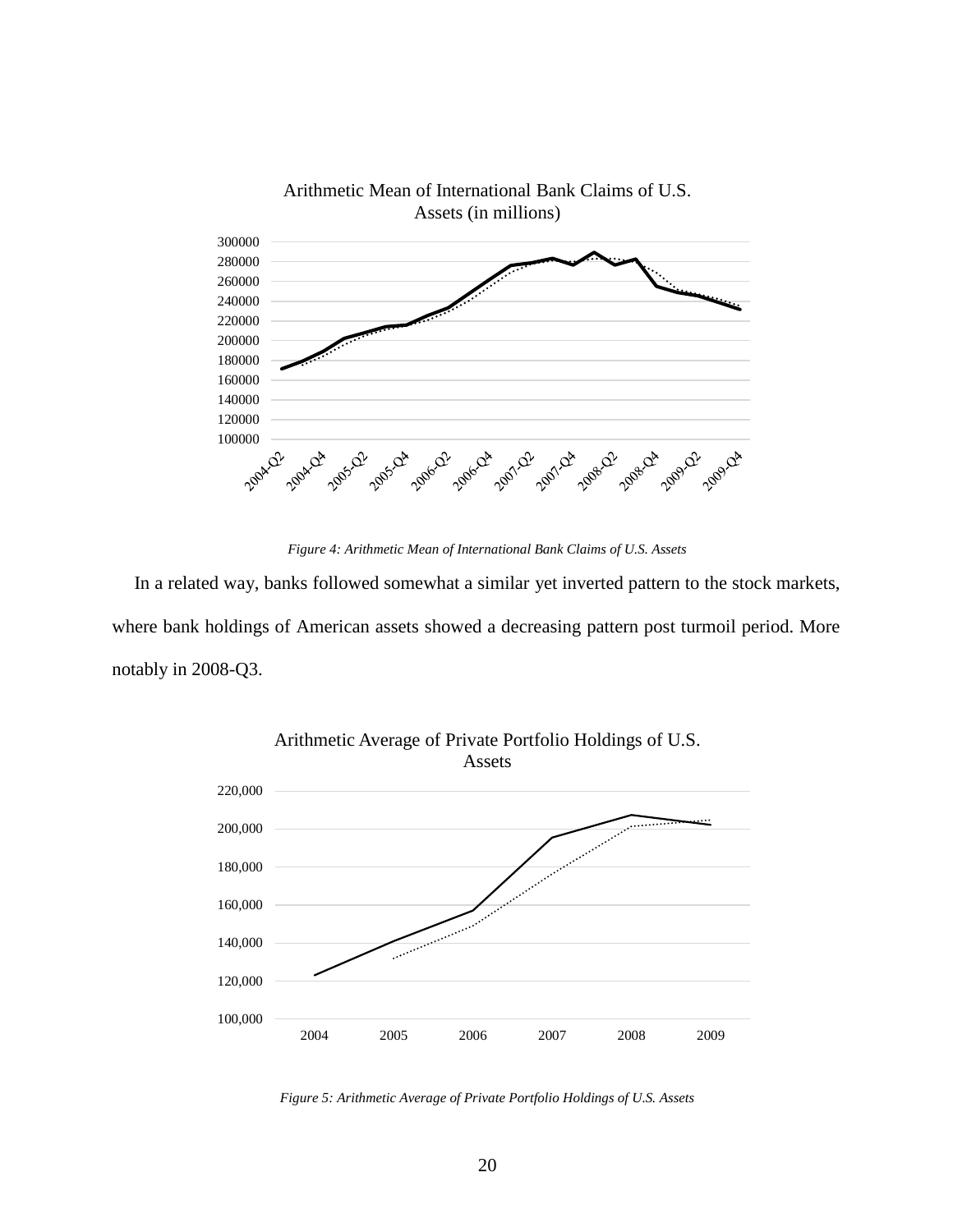

*Figure 4: Arithmetic Mean of International Bank Claims of U.S. Assets*

<span id="page-25-0"></span>In a related way, banks followed somewhat a similar yet inverted pattern to the stock markets, where bank holdings of American assets showed a decreasing pattern post turmoil period. More notably in 2008-Q3.



<span id="page-25-1"></span>*Figure 5: Arithmetic Average of Private Portfolio Holdings of U.S. Assets*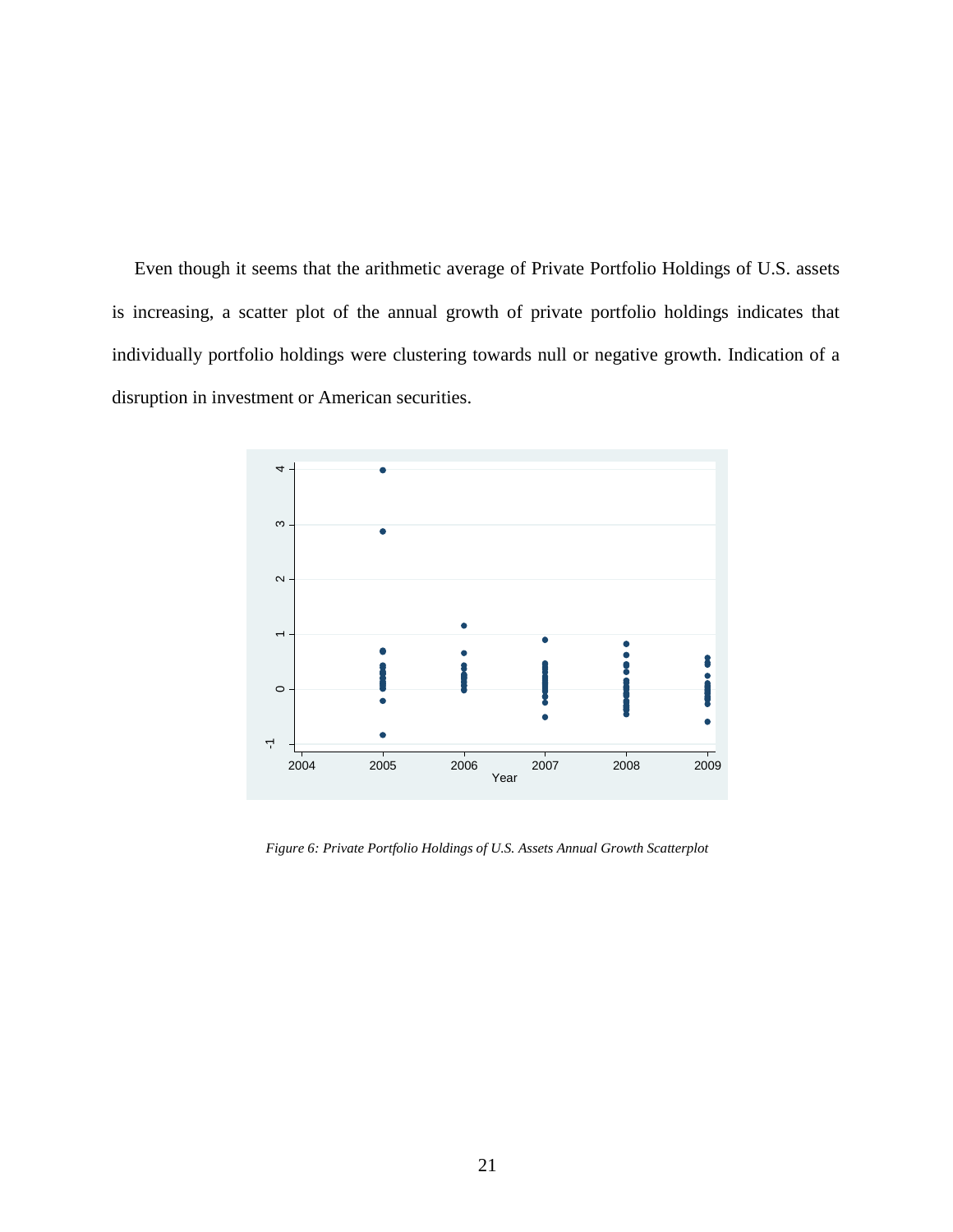Even though it seems that the arithmetic average of Private Portfolio Holdings of U.S. assets is increasing, a scatter plot of the annual growth of private portfolio holdings indicates that individually portfolio holdings were clustering towards null or negative growth. Indication of a disruption in investment or American securities.



<span id="page-26-0"></span>*Figure 6: Private Portfolio Holdings of U.S. Assets Annual Growth Scatterplot*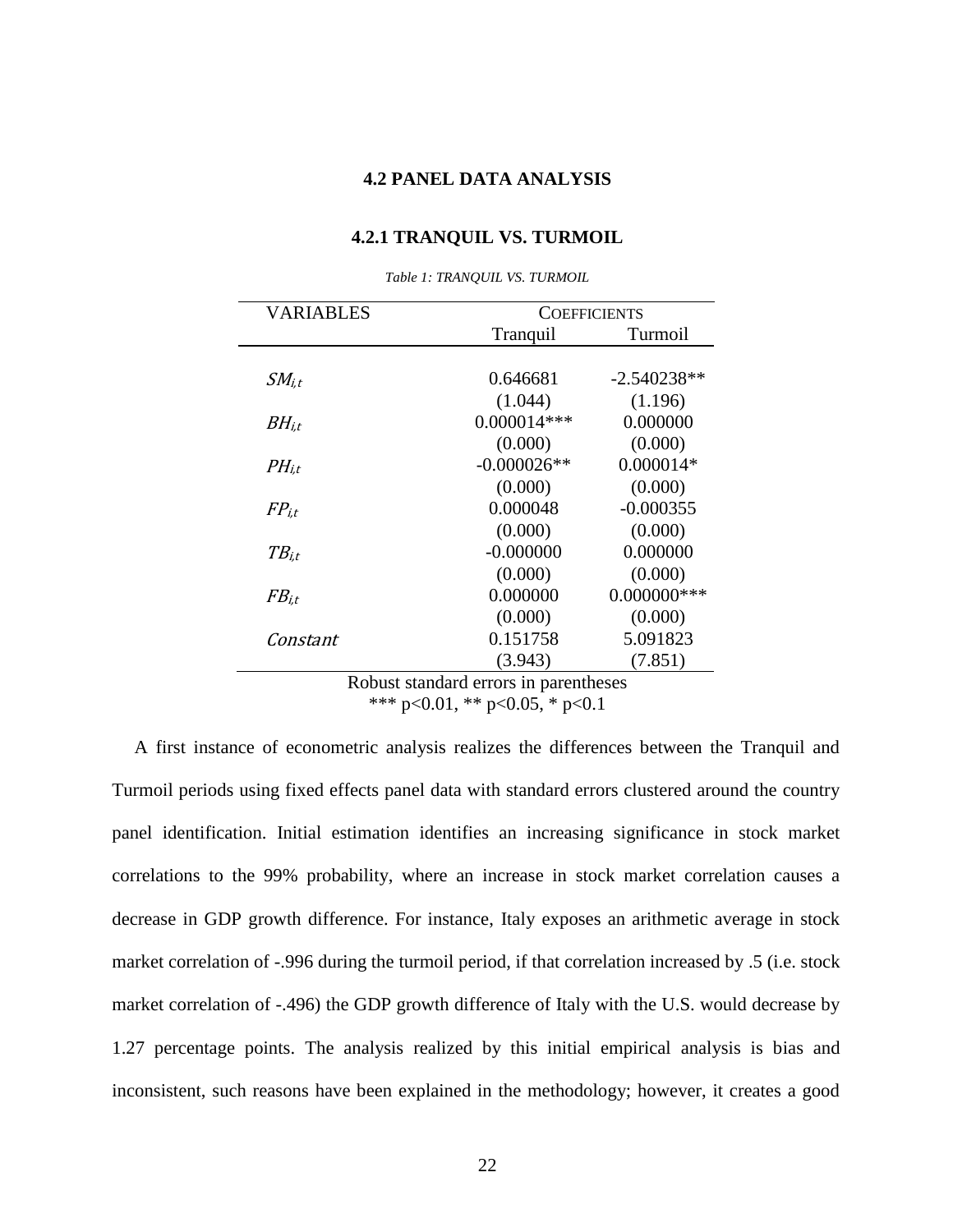## **4.2 PANEL DATA ANALYSIS**

#### **4.2.1 TRANQUIL VS. TURMOIL**

<span id="page-27-2"></span><span id="page-27-1"></span><span id="page-27-0"></span>

| VARIABLES  | <b>COEFFICIENTS</b> |                |
|------------|---------------------|----------------|
|            | Tranquil            | Turmoil        |
|            |                     |                |
| $SM_{i.t}$ | 0.646681            | $-2.540238**$  |
|            | (1.044)             | (1.196)        |
| $BH_{i.t}$ | $0.000014***$       | 0.000000       |
|            | (0.000)             | (0.000)        |
| $PH_{i.t}$ | $-0.000026**$       | $0.000014*$    |
|            | (0.000)             | (0.000)        |
| $FP_{i.t}$ | 0.000048            | $-0.000355$    |
|            | (0.000)             | (0.000)        |
| $TB_{i.t}$ | $-0.000000$         | 0.000000       |
|            | (0.000)             | (0.000)        |
| $FB_{i.t}$ | 0.000000            | $0.000000$ *** |
|            | (0.000)             | (0.000)        |
| Constant   | 0.151758            | 5.091823       |
|            | (3.943)             | (7.851)        |

*Table 1: TRANQUIL VS. TURMOIL*

Robust standard errors in parentheses

\*\*\* p<0.01, \*\* p<0.05, \* p<0.1

A first instance of econometric analysis realizes the differences between the Tranquil and Turmoil periods using fixed effects panel data with standard errors clustered around the country panel identification. Initial estimation identifies an increasing significance in stock market correlations to the 99% probability, where an increase in stock market correlation causes a decrease in GDP growth difference. For instance, Italy exposes an arithmetic average in stock market correlation of -.996 during the turmoil period, if that correlation increased by .5 (i.e. stock market correlation of -.496) the GDP growth difference of Italy with the U.S. would decrease by 1.27 percentage points. The analysis realized by this initial empirical analysis is bias and inconsistent, such reasons have been explained in the methodology; however, it creates a good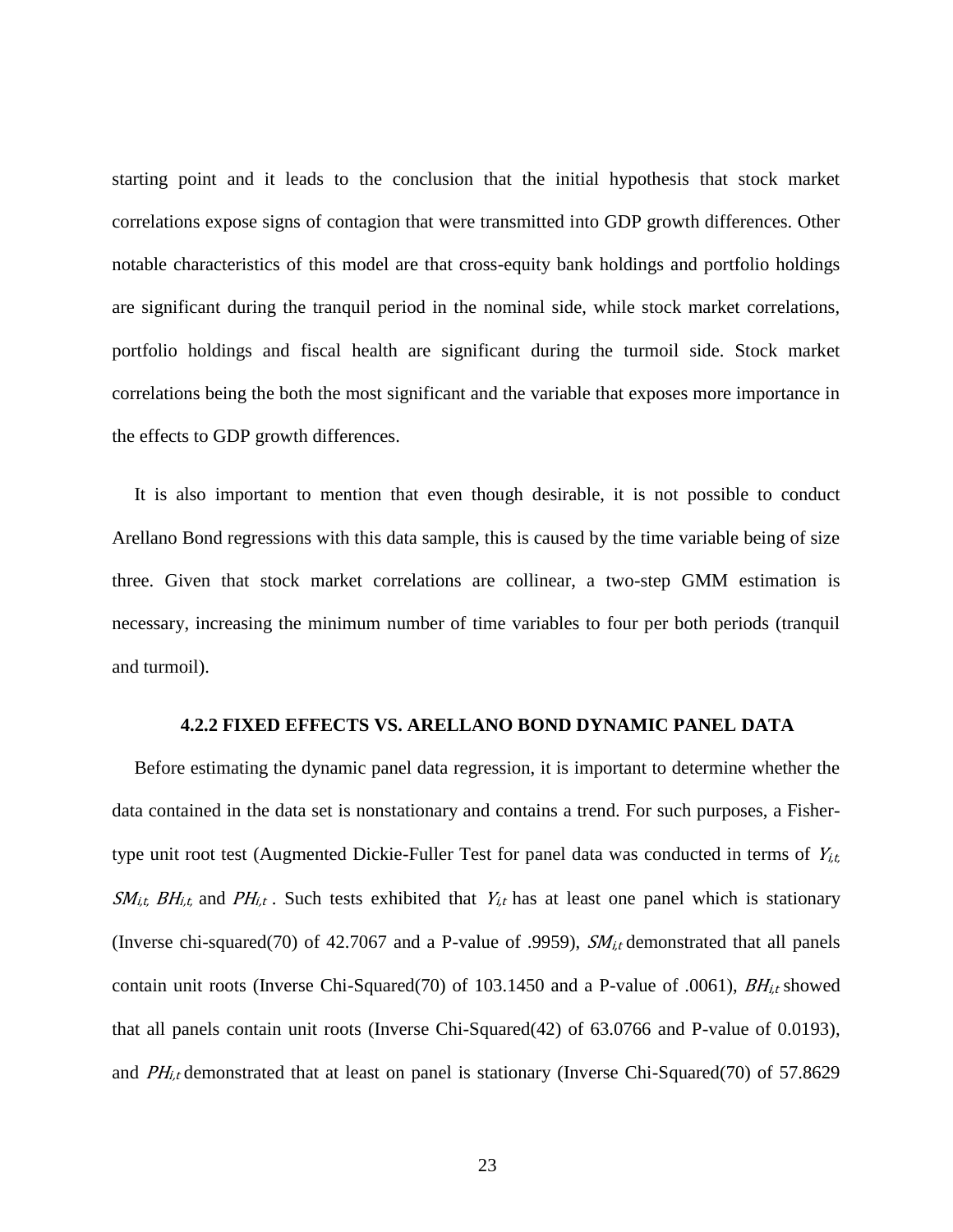starting point and it leads to the conclusion that the initial hypothesis that stock market correlations expose signs of contagion that were transmitted into GDP growth differences. Other notable characteristics of this model are that cross-equity bank holdings and portfolio holdings are significant during the tranquil period in the nominal side, while stock market correlations, portfolio holdings and fiscal health are significant during the turmoil side. Stock market correlations being the both the most significant and the variable that exposes more importance in the effects to GDP growth differences.

It is also important to mention that even though desirable, it is not possible to conduct Arellano Bond regressions with this data sample, this is caused by the time variable being of size three. Given that stock market correlations are collinear, a two-step GMM estimation is necessary, increasing the minimum number of time variables to four per both periods (tranquil and turmoil).

#### **4.2.2 FIXED EFFECTS VS. ARELLANO BOND DYNAMIC PANEL DATA**

<span id="page-28-0"></span>Before estimating the dynamic panel data regression, it is important to determine whether the data contained in the data set is nonstationary and contains a trend. For such purposes, a Fishertype unit root test (Augmented Dickie-Fuller Test for panel data was conducted in terms of  $Y_{i,t}$ ,  $SM_{i,t}$ ,  $BH_{i,t}$ , and  $PH_{i,t}$ . Such tests exhibited that  $Y_{i,t}$  has at least one panel which is stationary (Inverse chi-squared(70) of 42.7067 and a P-value of .9959),  $SM_{i,t}$  demonstrated that all panels contain unit roots (Inverse Chi-Squared(70) of 103.1450 and a P-value of .0061),  $BH_{i,t}$  showed that all panels contain unit roots (Inverse Chi-Squared(42) of 63.0766 and P-value of 0.0193), and  $PH_{i,t}$  demonstrated that at least on panel is stationary (Inverse Chi-Squared(70) of 57.8629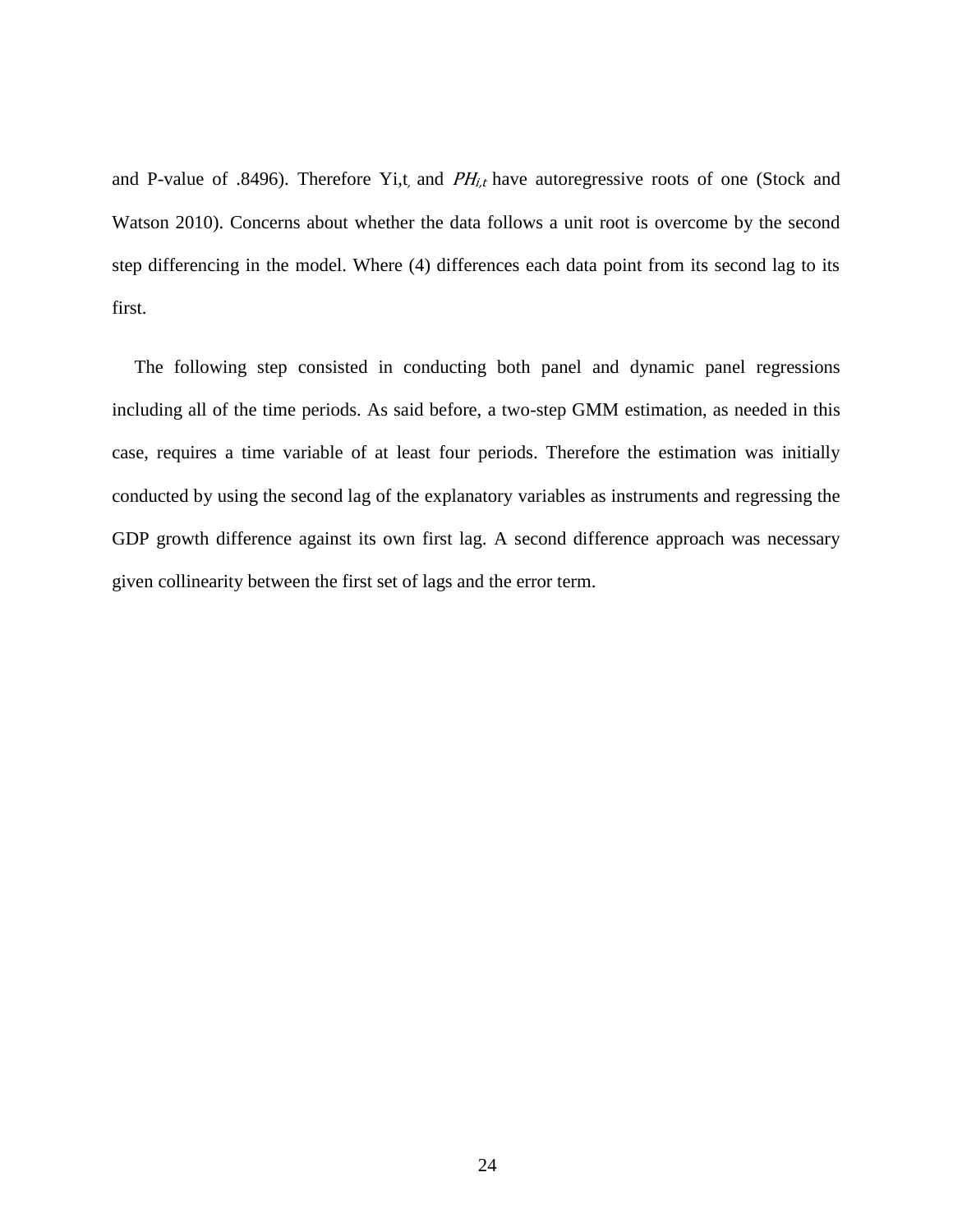and P-value of .8496). Therefore Yi,t, and  $PH_{i,t}$  have autoregressive roots of one (Stock and Watson 2010). Concerns about whether the data follows a unit root is overcome by the second step differencing in the model. Where (4) differences each data point from its second lag to its first.

The following step consisted in conducting both panel and dynamic panel regressions including all of the time periods. As said before, a two-step GMM estimation, as needed in this case, requires a time variable of at least four periods. Therefore the estimation was initially conducted by using the second lag of the explanatory variables as instruments and regressing the GDP growth difference against its own first lag. A second difference approach was necessary given collinearity between the first set of lags and the error term.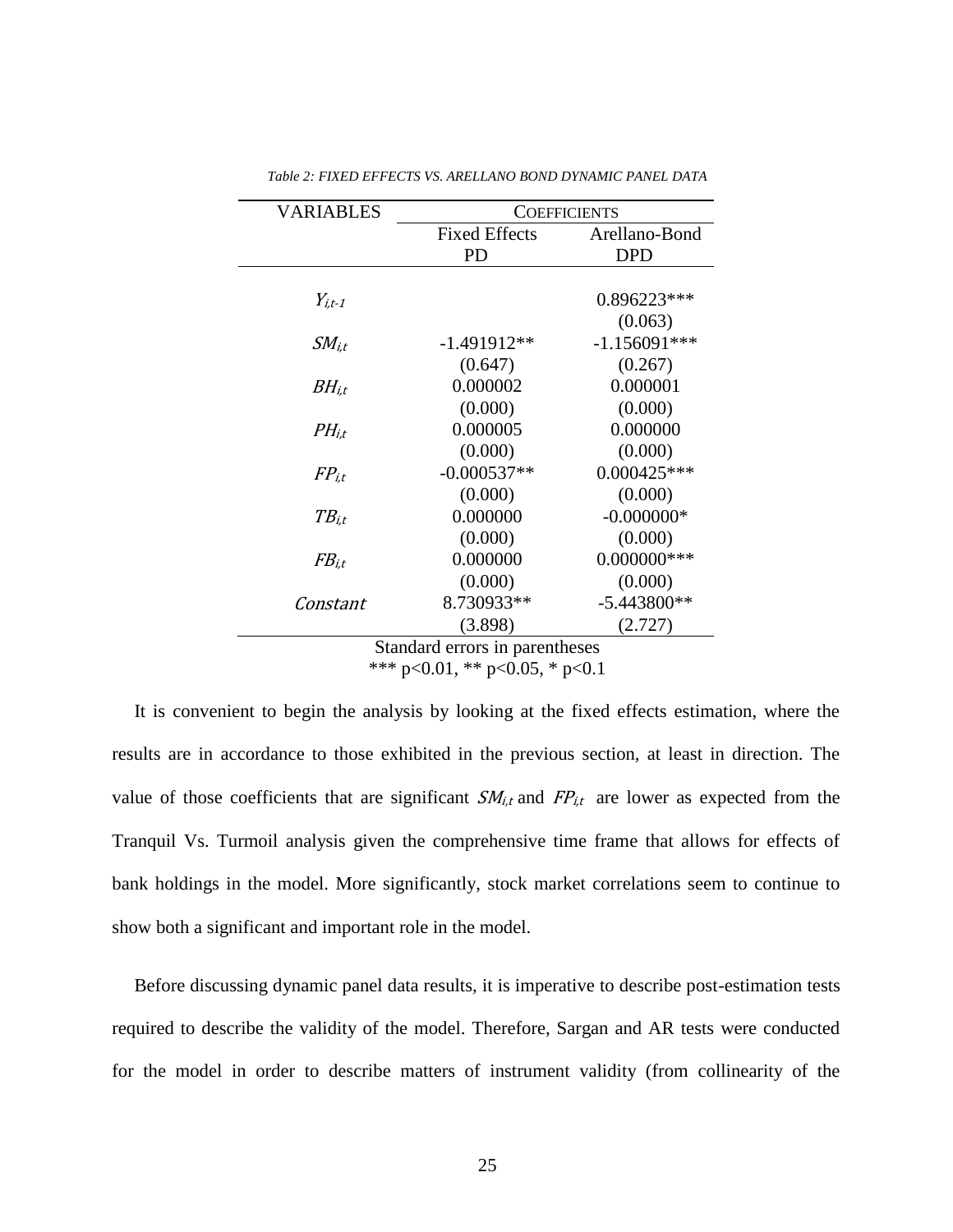<span id="page-30-0"></span>

| VARIABLES   | <b>COEFFICIENTS</b>  |                |
|-------------|----------------------|----------------|
|             | <b>Fixed Effects</b> | Arellano-Bond  |
|             | PD                   | <b>DPD</b>     |
|             |                      |                |
| $Y_{i.t-1}$ |                      | $0.896223***$  |
|             |                      | (0.063)        |
| $SM_{i.t}$  | $-1.491912**$        | $-1.156091***$ |
|             | (0.647)              | (0.267)        |
| $BH_{i.t}$  | 0.000002             | 0.000001       |
|             | (0.000)              | (0.000)        |
| $PH_{i.t}$  | 0.000005             | 0.000000       |
|             | (0.000)              | (0.000)        |
| $FP_{i.t}$  | $-0.000537**$        | $0.000425***$  |
|             | (0.000)              | (0.000)        |
| $TB_{i.t}$  | 0.000000             | $-0.000000*$   |
|             | (0.000)              | (0.000)        |
| $FB_{i.t}$  | 0.000000             | $0.000000$ *** |
|             | (0.000)              | (0.000)        |
| Constant    | 8.730933**           | $-5.443800**$  |
|             | (3.898)              | (2.727)        |

*Table 2: FIXED EFFECTS VS. ARELLANO BOND DYNAMIC PANEL DATA*

Standard errors in parentheses \*\*\* p<0.01, \*\* p<0.05, \* p<0.1

It is convenient to begin the analysis by looking at the fixed effects estimation, where the results are in accordance to those exhibited in the previous section, at least in direction. The value of those coefficients that are significant  $SM_{i,t}$  and  $FP_{i,t}$  are lower as expected from the Tranquil Vs. Turmoil analysis given the comprehensive time frame that allows for effects of bank holdings in the model. More significantly, stock market correlations seem to continue to show both a significant and important role in the model.

Before discussing dynamic panel data results, it is imperative to describe post-estimation tests required to describe the validity of the model. Therefore, Sargan and AR tests were conducted for the model in order to describe matters of instrument validity (from collinearity of the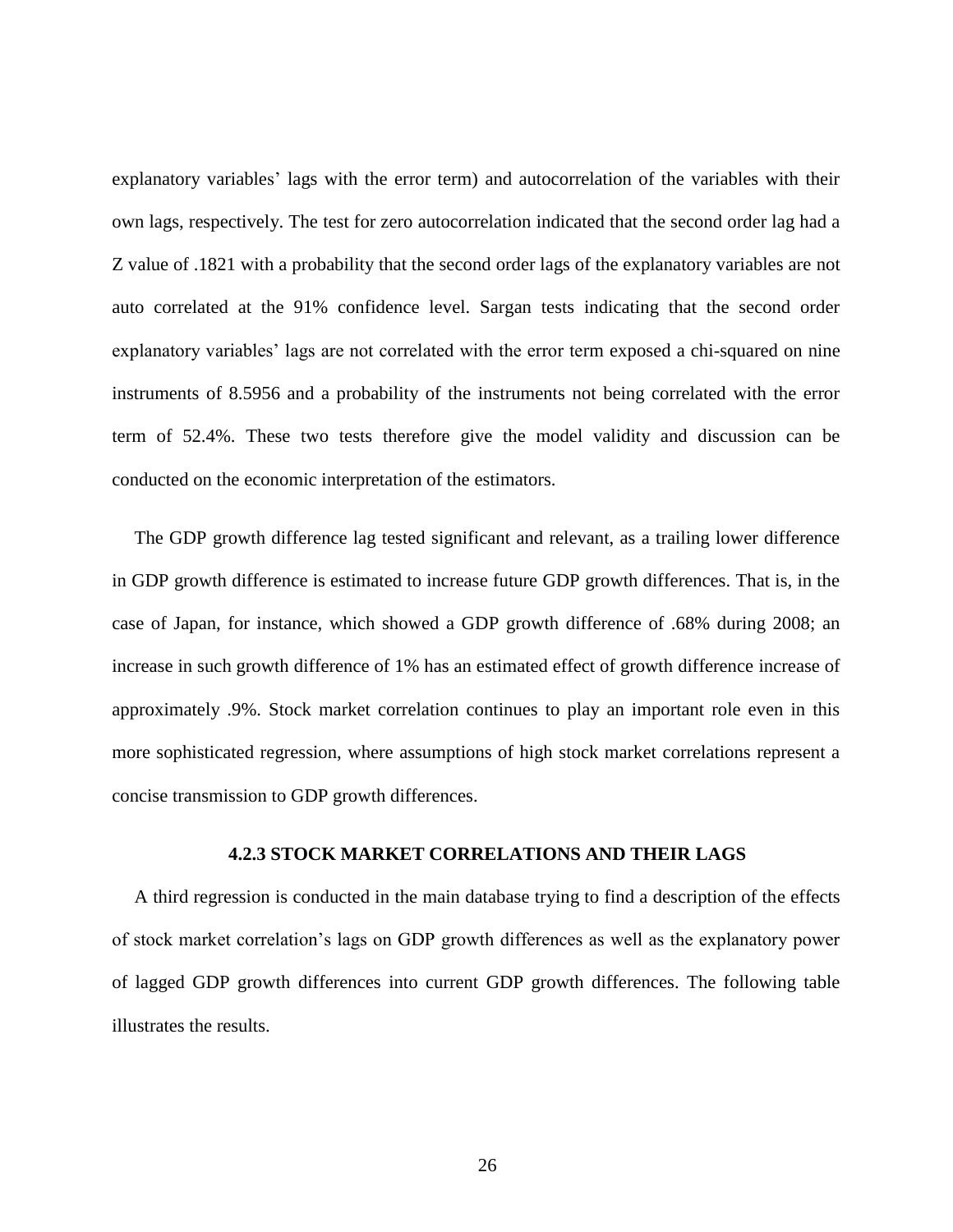explanatory variables' lags with the error term) and autocorrelation of the variables with their own lags, respectively. The test for zero autocorrelation indicated that the second order lag had a Z value of .1821 with a probability that the second order lags of the explanatory variables are not auto correlated at the 91% confidence level. Sargan tests indicating that the second order explanatory variables' lags are not correlated with the error term exposed a chi-squared on nine instruments of 8.5956 and a probability of the instruments not being correlated with the error term of 52.4%. These two tests therefore give the model validity and discussion can be conducted on the economic interpretation of the estimators.

The GDP growth difference lag tested significant and relevant, as a trailing lower difference in GDP growth difference is estimated to increase future GDP growth differences. That is, in the case of Japan, for instance, which showed a GDP growth difference of .68% during 2008; an increase in such growth difference of 1% has an estimated effect of growth difference increase of approximately .9%. Stock market correlation continues to play an important role even in this more sophisticated regression, where assumptions of high stock market correlations represent a concise transmission to GDP growth differences.

#### **4.2.3 STOCK MARKET CORRELATIONS AND THEIR LAGS**

<span id="page-31-0"></span>A third regression is conducted in the main database trying to find a description of the effects of stock market correlation's lags on GDP growth differences as well as the explanatory power of lagged GDP growth differences into current GDP growth differences. The following table illustrates the results.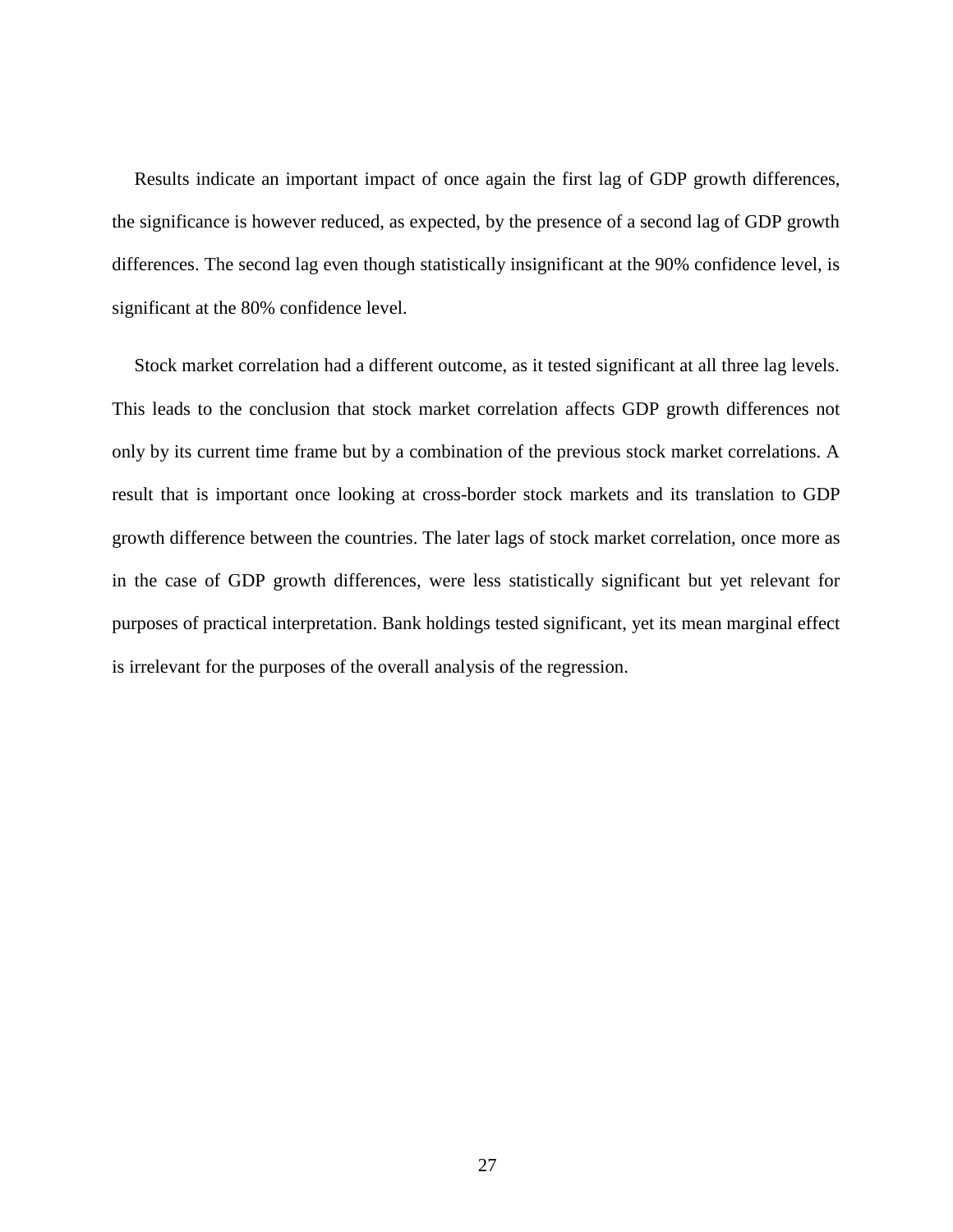Results indicate an important impact of once again the first lag of GDP growth differences, the significance is however reduced, as expected, by the presence of a second lag of GDP growth differences. The second lag even though statistically insignificant at the 90% confidence level, is significant at the 80% confidence level.

Stock market correlation had a different outcome, as it tested significant at all three lag levels. This leads to the conclusion that stock market correlation affects GDP growth differences not only by its current time frame but by a combination of the previous stock market correlations. A result that is important once looking at cross-border stock markets and its translation to GDP growth difference between the countries. The later lags of stock market correlation, once more as in the case of GDP growth differences, were less statistically significant but yet relevant for purposes of practical interpretation. Bank holdings tested significant, yet its mean marginal effect is irrelevant for the purposes of the overall analysis of the regression.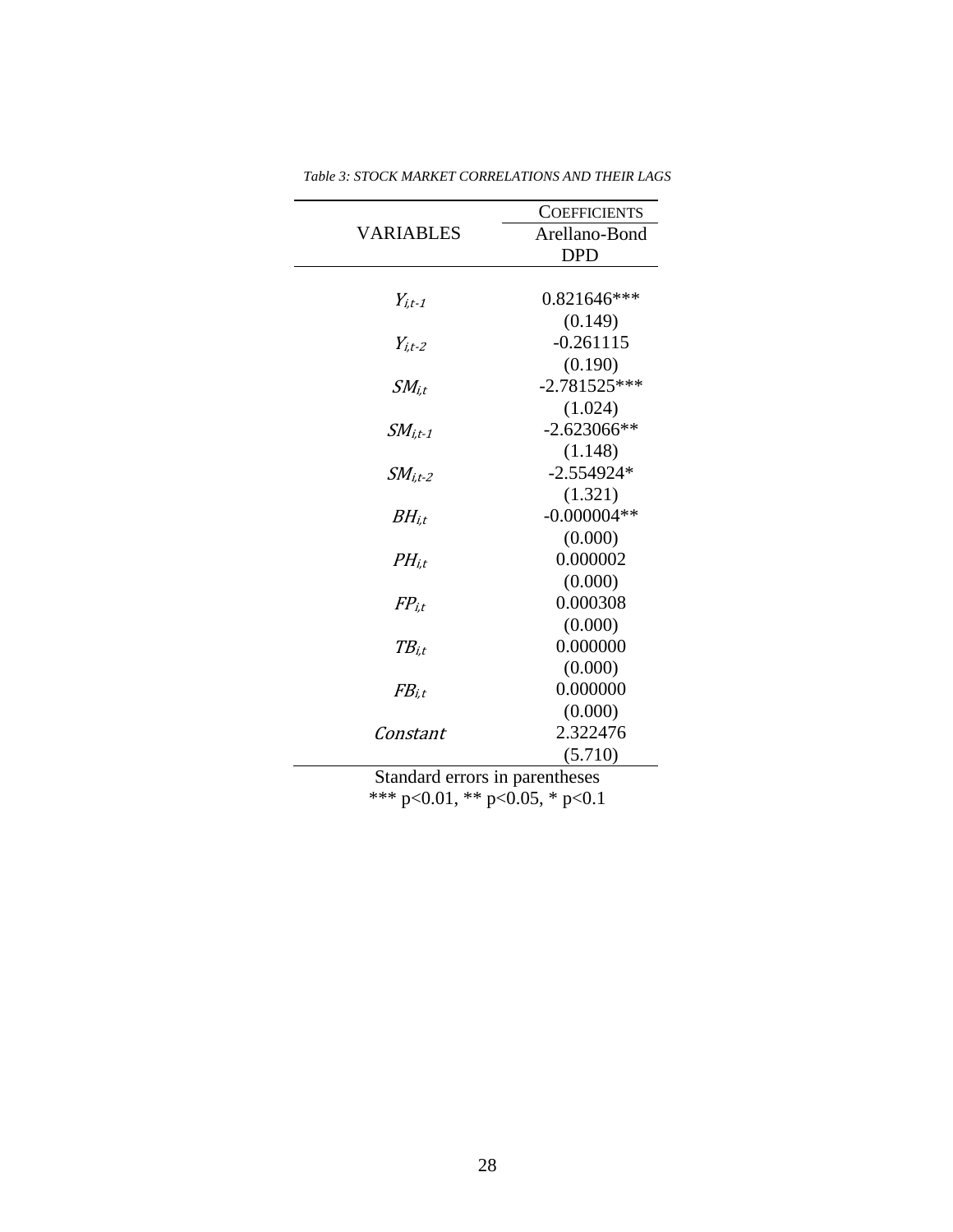<span id="page-33-0"></span>

|                                | <b>COEFFICIENTS</b> |  |
|--------------------------------|---------------------|--|
| <b>VARIABLES</b>               | Arellano-Bond       |  |
|                                | <b>DPD</b>          |  |
|                                |                     |  |
| $Y_{i,t-1}$                    | $0.821646***$       |  |
|                                | (0.149)             |  |
| $Y_{i,t-2}$                    | $-0.261115$         |  |
|                                | (0.190)             |  |
| $SM_{i,t}$                     | $-2.781525***$      |  |
|                                | (1.024)             |  |
| $SM_{i,t-1}$                   | $-2.623066**$       |  |
|                                | (1.148)             |  |
| $SMi.t-2$                      | $-2.554924*$        |  |
|                                | (1.321)             |  |
| $BH_{i,t}$                     | $-0.000004**$       |  |
|                                | (0.000)             |  |
| $PH_{i,t}$                     | 0.000002            |  |
|                                | (0.000)             |  |
| $FP_{i.t}$                     | 0.000308            |  |
|                                | (0.000)             |  |
| $TB_{i.t}$                     | 0.000000            |  |
|                                | (0.000)             |  |
| $FB_{i.t}$                     | 0.000000            |  |
|                                | (0.000)             |  |
| Constant                       | 2.322476            |  |
|                                | (5.710)             |  |
| Standard errors in parentheses |                     |  |

*Table 3: STOCK MARKET CORRELATIONS AND THEIR LAGS*

\*\*\* p<0.01, \*\* p<0.05, \* p<0.1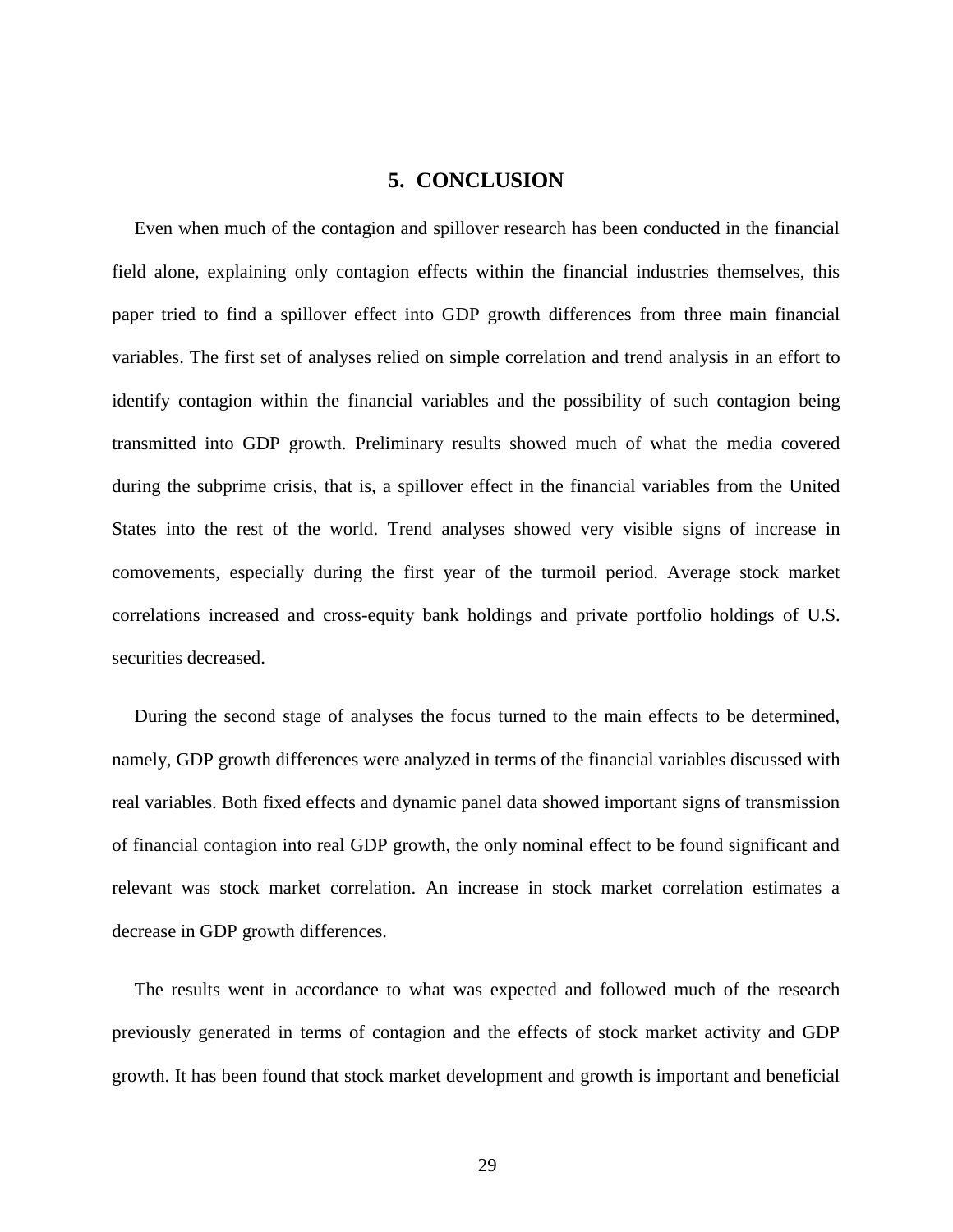# **5. CONCLUSION**

<span id="page-34-0"></span>Even when much of the contagion and spillover research has been conducted in the financial field alone, explaining only contagion effects within the financial industries themselves, this paper tried to find a spillover effect into GDP growth differences from three main financial variables. The first set of analyses relied on simple correlation and trend analysis in an effort to identify contagion within the financial variables and the possibility of such contagion being transmitted into GDP growth. Preliminary results showed much of what the media covered during the subprime crisis, that is, a spillover effect in the financial variables from the United States into the rest of the world. Trend analyses showed very visible signs of increase in comovements, especially during the first year of the turmoil period. Average stock market correlations increased and cross-equity bank holdings and private portfolio holdings of U.S. securities decreased.

During the second stage of analyses the focus turned to the main effects to be determined, namely, GDP growth differences were analyzed in terms of the financial variables discussed with real variables. Both fixed effects and dynamic panel data showed important signs of transmission of financial contagion into real GDP growth, the only nominal effect to be found significant and relevant was stock market correlation. An increase in stock market correlation estimates a decrease in GDP growth differences.

The results went in accordance to what was expected and followed much of the research previously generated in terms of contagion and the effects of stock market activity and GDP growth. It has been found that stock market development and growth is important and beneficial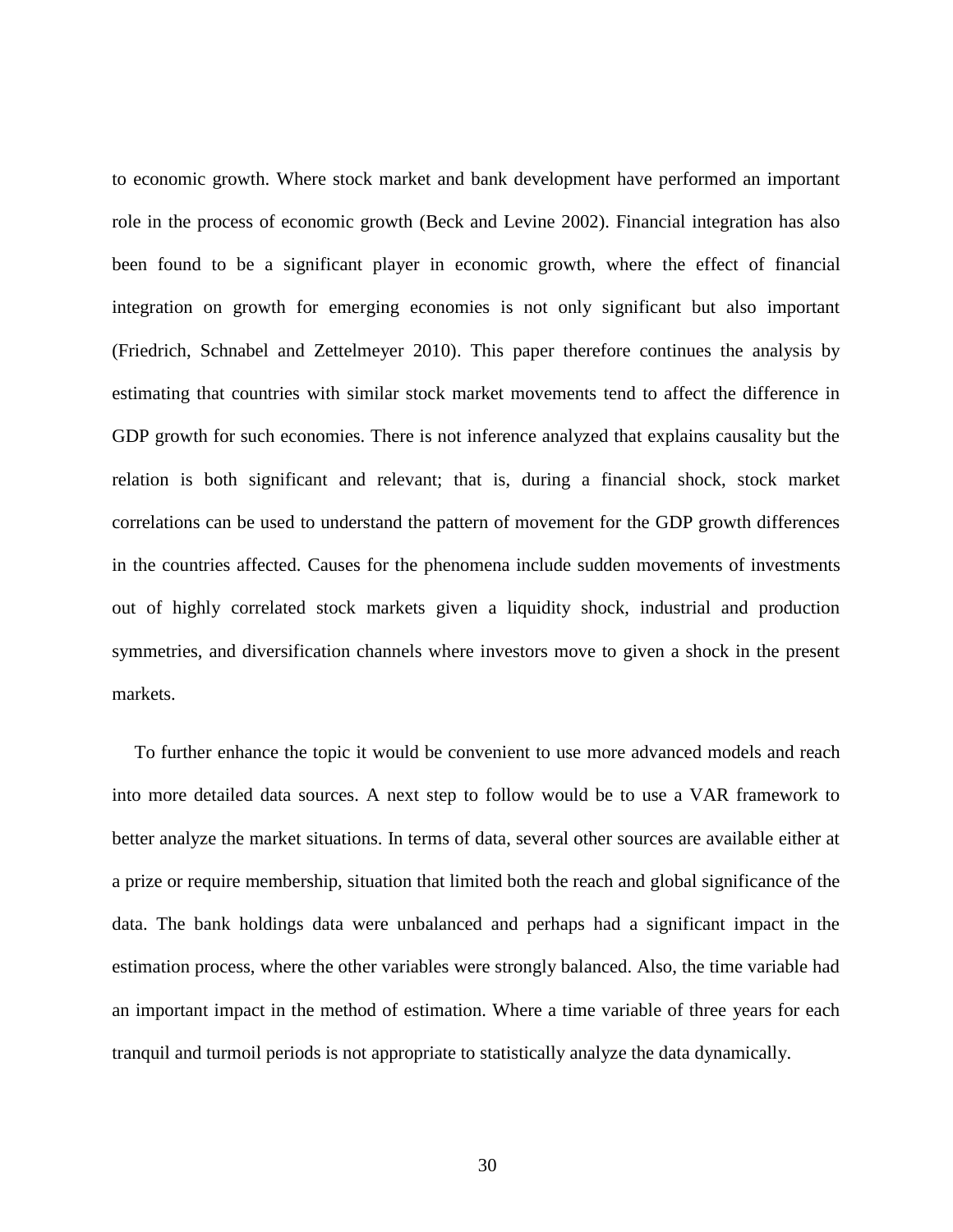to economic growth. Where stock market and bank development have performed an important role in the process of economic growth (Beck and Levine 2002). Financial integration has also been found to be a significant player in economic growth, where the effect of financial integration on growth for emerging economies is not only significant but also important (Friedrich, Schnabel and Zettelmeyer 2010). This paper therefore continues the analysis by estimating that countries with similar stock market movements tend to affect the difference in GDP growth for such economies. There is not inference analyzed that explains causality but the relation is both significant and relevant; that is, during a financial shock, stock market correlations can be used to understand the pattern of movement for the GDP growth differences in the countries affected. Causes for the phenomena include sudden movements of investments out of highly correlated stock markets given a liquidity shock, industrial and production symmetries, and diversification channels where investors move to given a shock in the present markets.

To further enhance the topic it would be convenient to use more advanced models and reach into more detailed data sources. A next step to follow would be to use a VAR framework to better analyze the market situations. In terms of data, several other sources are available either at a prize or require membership, situation that limited both the reach and global significance of the data. The bank holdings data were unbalanced and perhaps had a significant impact in the estimation process, where the other variables were strongly balanced. Also, the time variable had an important impact in the method of estimation. Where a time variable of three years for each tranquil and turmoil periods is not appropriate to statistically analyze the data dynamically.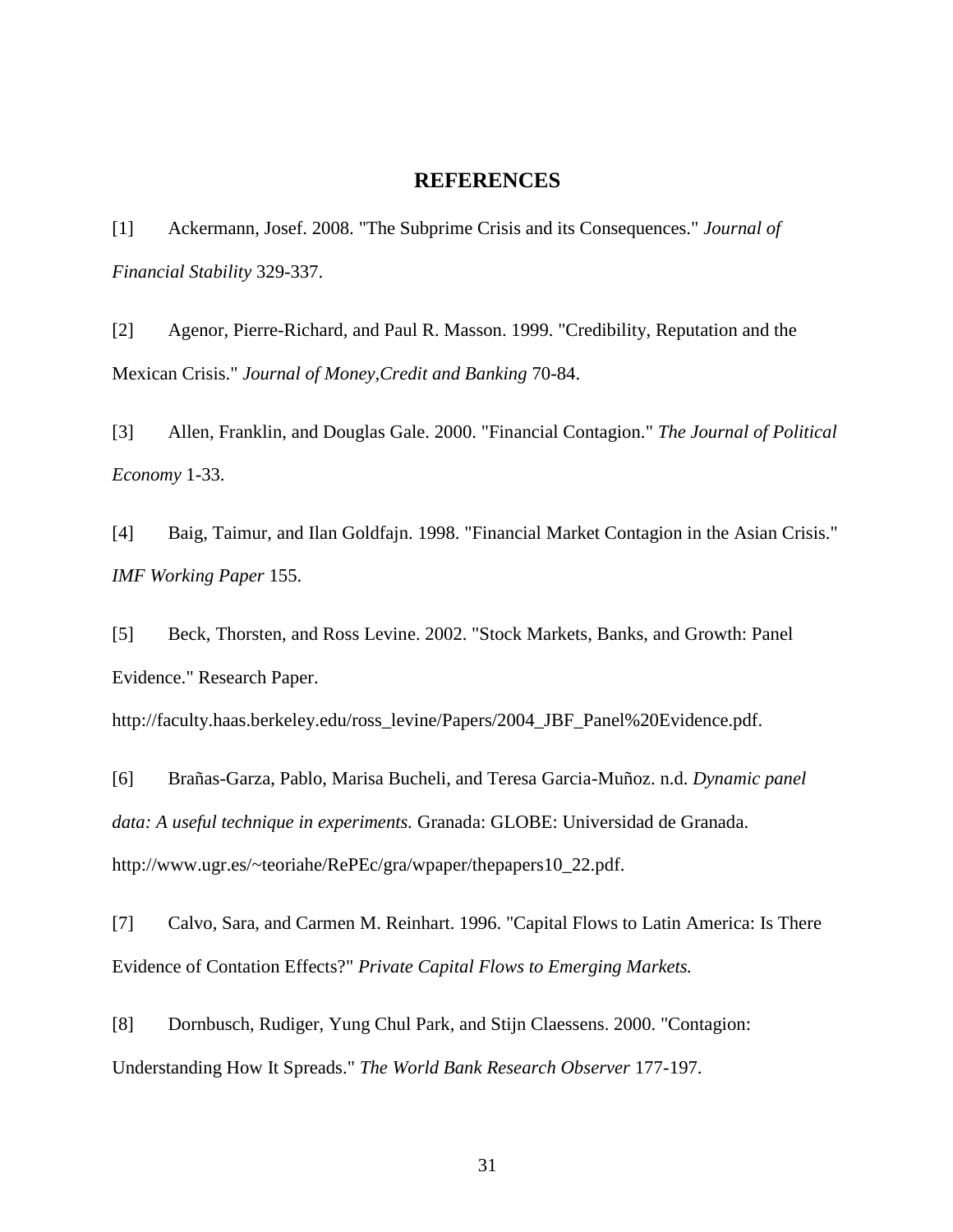#### **REFERENCES**

<span id="page-36-0"></span>[1] Ackermann, Josef. 2008. "The Subprime Crisis and its Consequences." *Journal of Financial Stability* 329-337.

[2] Agenor, Pierre-Richard, and Paul R. Masson. 1999. "Credibility, Reputation and the Mexican Crisis." *Journal of Money,Credit and Banking* 70-84.

[3] Allen, Franklin, and Douglas Gale. 2000. "Financial Contagion." *The Journal of Political Economy* 1-33.

[4] Baig, Taimur, and Ilan Goldfajn. 1998. "Financial Market Contagion in the Asian Crisis." *IMF Working Paper* 155.

[5] Beck, Thorsten, and Ross Levine. 2002. "Stock Markets, Banks, and Growth: Panel Evidence." Research Paper.

http://faculty.haas.berkeley.edu/ross\_levine/Papers/2004\_JBF\_Panel%20Evidence.pdf.

[6] Brañas-Garza, Pablo, Marisa Bucheli, and Teresa Garcia-Muñoz. n.d. *Dynamic panel data: A useful technique in experiments.* Granada: GLOBE: Universidad de Granada. http://www.ugr.es/~teoriahe/RePEc/gra/wpaper/thepapers10\_22.pdf.

[7] Calvo, Sara, and Carmen M. Reinhart. 1996. "Capital Flows to Latin America: Is There Evidence of Contation Effects?" *Private Capital Flows to Emerging Markets.*

[8] Dornbusch, Rudiger, Yung Chul Park, and Stijn Claessens. 2000. "Contagion: Understanding How It Spreads." *The World Bank Research Observer* 177-197.

31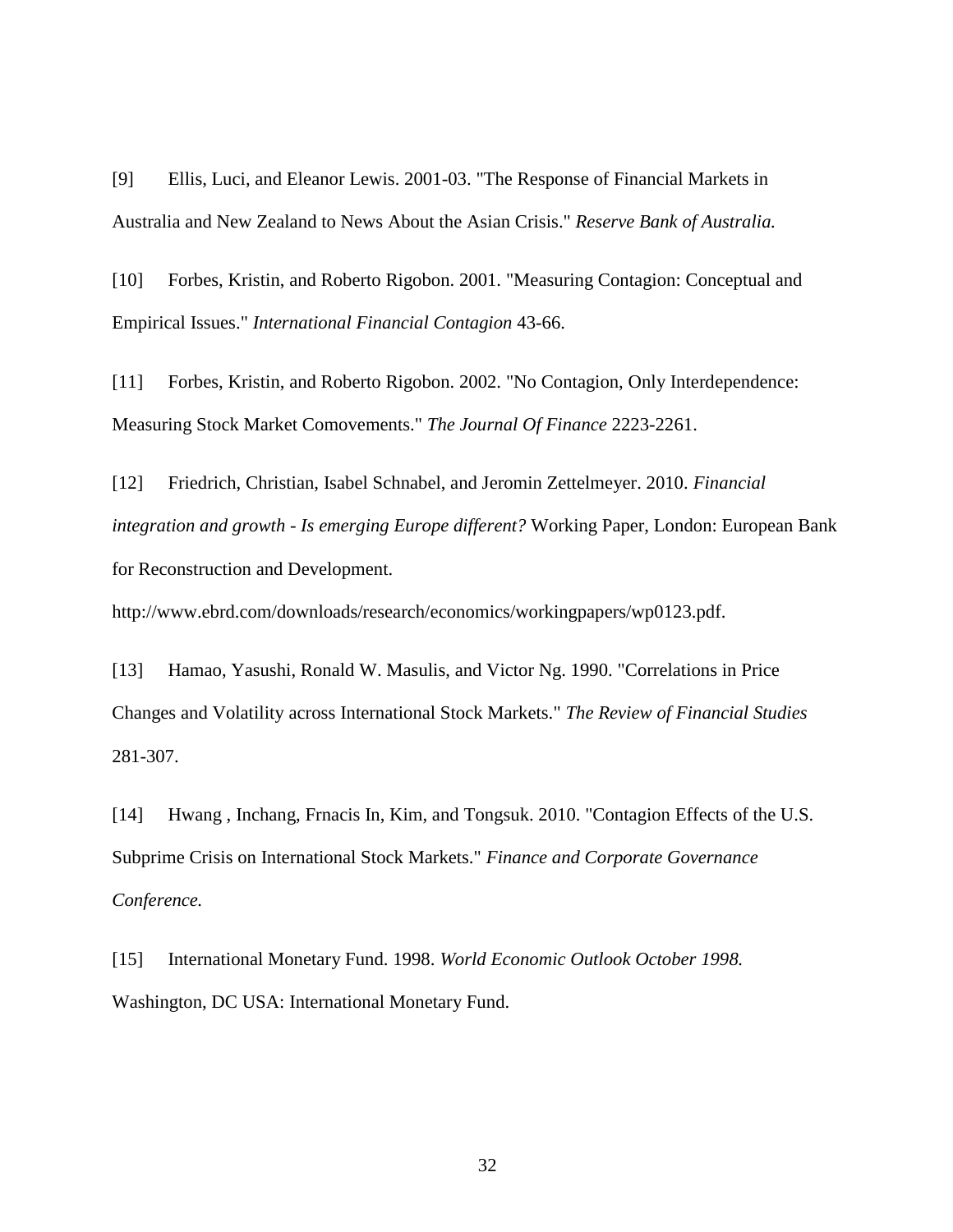[9] Ellis, Luci, and Eleanor Lewis. 2001-03. "The Response of Financial Markets in Australia and New Zealand to News About the Asian Crisis." *Reserve Bank of Australia.*

[10] Forbes, Kristin, and Roberto Rigobon. 2001. "Measuring Contagion: Conceptual and Empirical Issues." *International Financial Contagion* 43-66.

[11] Forbes, Kristin, and Roberto Rigobon. 2002. "No Contagion, Only Interdependence: Measuring Stock Market Comovements." *The Journal Of Finance* 2223-2261.

[12] Friedrich, Christian, Isabel Schnabel, and Jeromin Zettelmeyer. 2010. *Financial integration and growth - Is emerging Europe different?* Working Paper, London: European Bank for Reconstruction and Development.

http://www.ebrd.com/downloads/research/economics/workingpapers/wp0123.pdf.

[13] Hamao, Yasushi, Ronald W. Masulis, and Victor Ng. 1990. "Correlations in Price Changes and Volatility across International Stock Markets." *The Review of Financial Studies* 281-307.

[14] Hwang , Inchang, Frnacis In, Kim, and Tongsuk. 2010. "Contagion Effects of the U.S. Subprime Crisis on International Stock Markets." *Finance and Corporate Governance Conference.*

[15] International Monetary Fund. 1998. *World Economic Outlook October 1998.* Washington, DC USA: International Monetary Fund.